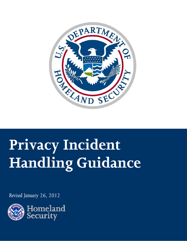

# **Privacy Incident Handling Guidance**

*Revised January 26, 2012*

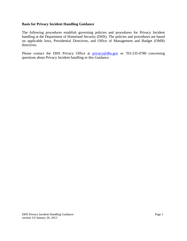#### **Basis for Privacy Incident Handling Guidance**

The following procedures establish governing policies and procedures for Privacy Incident handling at the Department of Homeland Security (DHS). The policies and procedures are based on applicable laws, Presidential Directives, and Office of Management and Budget (OMB) directives.

Please contact the DHS Privacy Office at **[privacy@dhs.gov](mailto:DHSPrivacyIncident@dhs.gov)** or 703-235-0780 concerning questions about Privacy Incident handling or this Guidance.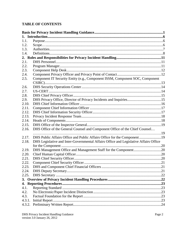# **TABLE OF CONTENTS**

| 1.1.   |                                                                                      |  |
|--------|--------------------------------------------------------------------------------------|--|
| 1.2.   |                                                                                      |  |
| 1.3.   |                                                                                      |  |
| 1.4.   |                                                                                      |  |
|        |                                                                                      |  |
| 2.1.   |                                                                                      |  |
| 2.2.   |                                                                                      |  |
| 2.3.   |                                                                                      |  |
| 2.4.   |                                                                                      |  |
| 2.5.   | Component IT Security Entity (e.g., Component ISSM, Component SOC, Component         |  |
|        |                                                                                      |  |
| 2.6.   |                                                                                      |  |
| 2.7.   |                                                                                      |  |
| 2.8.   |                                                                                      |  |
| 2.9.   |                                                                                      |  |
| 2.10.  |                                                                                      |  |
| 2.11.  |                                                                                      |  |
| 2.12.  |                                                                                      |  |
| 2.13.  |                                                                                      |  |
| 2.14.  |                                                                                      |  |
| 2.15.  |                                                                                      |  |
| 2.16.  | DHS Office of the General Counsel and Component Office of the Chief Counsel          |  |
|        |                                                                                      |  |
| 2.17.  | DHS Public Affairs Office and Public Affairs Office for the Component19              |  |
| 2.18.  | DHS Legislative and Inter-Governmental Affairs Office and Legislative Affairs Office |  |
| 2.19.  |                                                                                      |  |
| 2.20.  | DHS Management Office and Management Staff for the Component20                       |  |
| 2.21.  |                                                                                      |  |
| 2.22.  |                                                                                      |  |
| 2.23.  |                                                                                      |  |
| 2.24.  |                                                                                      |  |
| 2.25.  |                                                                                      |  |
|        |                                                                                      |  |
|        |                                                                                      |  |
| 4.1.   |                                                                                      |  |
| 4.2.   |                                                                                      |  |
| 4.3.   |                                                                                      |  |
| 4.3.1. |                                                                                      |  |
| 4.3.2. |                                                                                      |  |
|        |                                                                                      |  |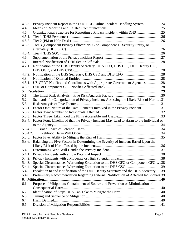| 4.3.3.   | Privacy Incident Report in the DHS EOC Online Incident Handling System24                     |  |
|----------|----------------------------------------------------------------------------------------------|--|
| 4.4.     |                                                                                              |  |
| 4.5.     | Organizational Structure for Reporting a Privacy Incident within DHS 25                      |  |
| 4.5.1.   |                                                                                              |  |
| 4.5.2.   |                                                                                              |  |
| 4.5.3.   | Tier 3 (Component Privacy Officer/PPOC or Component IT Security Entity, or                   |  |
|          |                                                                                              |  |
| 4.5.4.   |                                                                                              |  |
| 4.6.     |                                                                                              |  |
| 4.7.     |                                                                                              |  |
| 4.7.1.   | Notification of the DHS Deputy Secretary, DHS CPO, DHS CIO, DHS Deputy CIO,                  |  |
|          |                                                                                              |  |
| 4.7.2.   |                                                                                              |  |
| 4.8.     |                                                                                              |  |
| 4.8.1.   | US-CERT Notifies and Coordinates with Appropriate Government Agencies28                      |  |
| 4.8.2.   |                                                                                              |  |
|          |                                                                                              |  |
| 5.1.     |                                                                                              |  |
| 5.2.     | Standards for Categorization of Privacy Incident: Assessing the Likely Risk of Harm31        |  |
| 5.3.     |                                                                                              |  |
| 5.3.1.   | Factor One: Nature of the Data Elements Involved in the Privacy Incident 31                  |  |
| 5.3.2.   |                                                                                              |  |
|          |                                                                                              |  |
| 5.3.4.   | Factor Four: Likelihood that the Privacy Incident May Lead to Harm to the Individual or      |  |
|          |                                                                                              |  |
| 5.3.4.1. |                                                                                              |  |
| 5.3.4.2. |                                                                                              |  |
|          |                                                                                              |  |
|          | 5.3.6. Balancing the Five Factors in Determining the Severity of Incident Based Upon the     |  |
|          |                                                                                              |  |
| 5.4.     |                                                                                              |  |
| 5.4.1.   |                                                                                              |  |
|          |                                                                                              |  |
| 5.4.3.   | Special Circumstances Warranting Escalation to the DHS CFO or Component CFO38                |  |
| 5.4.4.   |                                                                                              |  |
| 5.4.5.   | Escalation to and Notification of the DHS Deputy Secretary and the DHS Secretary39           |  |
|          | 5.4.6. Preliminary Recommendation Regarding External Notification of Affected Individuals.39 |  |
|          |                                                                                              |  |
| 6.1.     | Purpose of Mitigation: Containment of Source and Prevention or Minimization of               |  |
|          |                                                                                              |  |
| 6.2.     |                                                                                              |  |
| 6.3.     |                                                                                              |  |
| 6.4.     |                                                                                              |  |
| 6.5.     |                                                                                              |  |
|          |                                                                                              |  |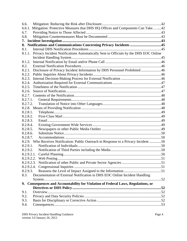| 6.6.       |                                                                                        |  |
|------------|----------------------------------------------------------------------------------------|--|
| 6.6.1.     | Mitigation: Protective Measures that DHS HQ Offices and Components Can Take42          |  |
| 6.7.       |                                                                                        |  |
| 6.8.       |                                                                                        |  |
| 7.         |                                                                                        |  |
|            | 8. Notifications and Communications Concerning Privacy Incidents 45                    |  |
| 8.1.       |                                                                                        |  |
| 8.1.1.     | Privacy Incident Notifications Automatically Sent to Officials by the DHS EOC Online   |  |
|            |                                                                                        |  |
| 8.1.2.     |                                                                                        |  |
| 8.2.       |                                                                                        |  |
| 8.2.1.     | Disclosure of Privacy Incident Information by DHS Personnel Prohibited 46              |  |
| 8.2.2.     |                                                                                        |  |
| 8.2.3.     |                                                                                        |  |
| 8.2.4.     |                                                                                        |  |
| 8.2.5.     |                                                                                        |  |
| 8.2.6.     |                                                                                        |  |
| 8.2.7.     |                                                                                        |  |
| 8.2.7.1.   |                                                                                        |  |
| 8.2.7.2.   |                                                                                        |  |
|            |                                                                                        |  |
| 8.2.8.1.   |                                                                                        |  |
| 8.2.8.2.   |                                                                                        |  |
| 8.2.8.3.   |                                                                                        |  |
| 8.2.8.4.   |                                                                                        |  |
| 8.2.8.5.   |                                                                                        |  |
| 8.2.8.6.   |                                                                                        |  |
| 8.2.8.7.   |                                                                                        |  |
|            | 8.2.9. Who Receives Notification: Public Outreach in Response to a Privacy Incident 50 |  |
| 8.2.9.1.   |                                                                                        |  |
| 8.2.9.2.   |                                                                                        |  |
| 8.2.9.2.1. |                                                                                        |  |
|            |                                                                                        |  |
|            |                                                                                        |  |
|            |                                                                                        |  |
| 8.2.9.3.   |                                                                                        |  |
| 8.3.       | Documentation of External Notification in DHS EOC Online Incident Handling             |  |
|            |                                                                                        |  |
|            | 9. Consequences and Accountability for Violation of Federal Laws, Regulations, or      |  |
|            |                                                                                        |  |
| 9.1.       |                                                                                        |  |
| 9.2.       |                                                                                        |  |
| 9.3.       |                                                                                        |  |
| 9.4.       |                                                                                        |  |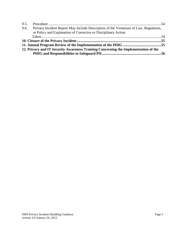| 9.6. | Privacy Incident Report May Include Description of the Violations of Law, Regulation,<br>or Policy and Explanation of Corrective or Disciplinary Action |  |
|------|---------------------------------------------------------------------------------------------------------------------------------------------------------|--|
|      |                                                                                                                                                         |  |
|      |                                                                                                                                                         |  |
|      |                                                                                                                                                         |  |
|      | 12. Privacy and IT Security Awareness Training Concerning the Implementation of the                                                                     |  |
|      |                                                                                                                                                         |  |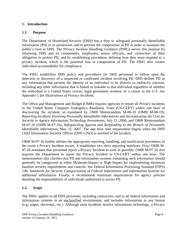#### **1. Introduction**

#### **1.1. Purpose**

The Department of Homeland Security (DHS) has a duty to safeguard personally identifiable information (PII) in its possession, and to prevent the compromise of PII in order to maintain the public's trust in DHS. The Privacy Incident Handling Guidance (PIHG) serves this purpose by informing DHS and its components, employees, senior officials, and contractors of their obligation to protect PII, and by establishing procedures defining how they must respond to a privacy incident, which is the potential loss or compromise of PII. The PIHG also creates individual accountability for compliance.

The PIHG establishes DHS policy and procedures for DHS personnel to follow upon the detection or discovery of a suspected or confirmed incident involving PII. DHS defines PII as any information that permits the identity of an individual to be directly or indirectly inferred, including any other information that is linked or linkable to that individual regardless of whether the individual is a United States citizen, legal permanent resident, or a visitor to the U.S. *See Appendix C for Illustrations of Privacy Incidents*.

The Office and Management and Budget (OMB) requires agencies to report all Privacy Incidents to the United States Computer Emergency Readiness Team (US-CERT) within one hour of discovering the incident, as mandated by OMB Memorandum M-06-19 (OMB M-06-19), *Reporting Incidents Involving Personally Identifiable Information and Incorporating the Cost for Security in Agency Information Technology Investments*, July 12, 2006, and OMB Memorandum M-07-16 (OMB M-07-16), *Safeguarding Against and Responding to the Breach of Personally Identifiable Information,* May 22, 2007. The one hour time requirement begins when the DHS Chief Information Security Officer (DHS CISO) is notified of the incident.

OMB M-07-16 further defines the appropriate reporting, handling, and notification procedures in the event a Privacy Incident occurs. It establishes two strict reporting timelines. First, OMB M-07-16 mandates that personnel report a Privacy Incident as soon as possible. OMB M-07-16 also requires the Department to report the Privacy Incident to US-CERT within one hour. The memorandum also clarifies that PII and information systems containing such information should generally be categorized as either Moderate-Impact or High-Impact for implementing minimum baseline security requirements and controls. See Federal Information Processing Standard (FIPS) 199, *Standards for Security Categorization of Federal Information and Information Systems* for additional information*.* Finally, it recommends minimum requirements for agency policies detailing the responsibilities of individuals authorized to access PII.

## **1.2. Scope**

The PIHG applies to all DHS personnel, including contractors, and to all federal information and information systems in an unclassified environment, and includes information in any format (e.g., paper, electronic, etc.). Although most incidents involve information technology, a Privacy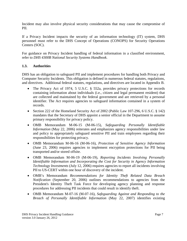Incident may also involve physical security considerations that may cause the compromise of PII.

If a Privacy Incident impacts the security of an information technology (IT) system, DHS personnel must refer to the DHS Concept of Operations (CONOPS) for Security Operations Centers (SOC).

For guidance on Privacy Incident handling of federal information in a classified environment, refer to *DHS 4300B National Security Systems Handbook*.

## **1.3. Authorities**

DHS has an obligation to safeguard PII and implement procedures for handling both Privacy and Computer Security Incidents. This obligation is defined in numerous federal statutes, regulations, and directives. Additional federal statutes, regulations, and directives are located in Appendix B.

- The Privacy Act of 1974, 5 U.S.C. § 552a, provides privacy protections for records containing information about individuals (i.e., citizen and legal permanent resident) that are collected and maintained by the federal government and are retrieved by a personal identifier. The Act requires agencies to safeguard information contained in a system of records.
- Section 222 of the Homeland Security Act of 2002 (Public Law 107-296, 6 U.S.C. § 142) mandates that the Secretary of DHS appoint a senior official in the Department to assume primary responsibility for privacy policy.
- OMB Memorandum M-06-15 (M-06-15), *Safeguarding Personally Identifiable Information* (May 22, 2006) reiterates and emphasizes agency responsibilities under law and policy to appropriately safeguard sensitive PII and train employees regarding their responsibilities for protecting privacy.
- OMB Memorandum M-06-16 (M-06-16), *Protection of Sensitive Agency Information* (June 23, 2006) requires agencies to implement encryption protections for PII being transported and/or stored offsite.
- OMB Memorandum M-06-19 (M-06-19)*, Reporting Incidents Involving Personally Identifiable Information and Incorporating the Cost for Security in Agency Information Technology Investments* (July 12, 2006) requires agencies to report all incidents involving PII to US-CERT within one hour of discovery of the incident.
- OMB's Memorandum *Recommendations for Identity Theft Related Data Breach Notification* (September 20, 2006) outlines recommendations to agencies from the President's Identity Theft Task Force for developing agency planning and response procedures for addressing PII incidents that could result in identify theft.
- OMB Memorandum M-07-16 (M-07-16), *Safeguarding Against and Responding to the Breach of Personally Identifiable Information* (May 22, 2007) identifies existing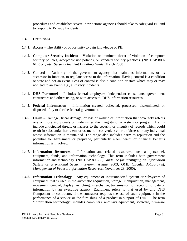procedures and establishes several new actions agencies should take to safeguard PII and to respond to Privacy Incidents.

#### **1.4. Definitions**

- **1.4.1. Access** The ability or opportunity to gain knowledge of PII.
- **1.4.2. Computer Security Incident** Violation or imminent threat of violation of computer security policies, acceptable use policies, or standard security practices. (NIST SP 800-61, *Computer Security Incident Handling Guide,* March 2008).
- **1.4.3. Control** Authority of the government agency that maintains information, or its successor in function, to regulate access to the information. Having control is a condition or state and not an event. Loss of control is also a condition or state which may or may not lead to an event (e.g., a Privacy Incident).
- **1.4.4. DHS Personnel** Includes federal employees, independent consultants, government contractors and others using, or with access to, DHS information resources.
- **1.4.5. Federal Information** Information created, collected, processed, disseminated, or disposed of by or for the federal government.
- **1.4.6. Harm** Damage, fiscal damage, or loss or misuse of information that adversely affects one or more individuals or undermines the integrity of a system or program. Harms include anticipated threats or hazards to the security or integrity of records which could result in substantial harm, embarrassment, inconvenience, or unfairness to any individual whose information is maintained. The range also includes harm to reputation and the potential for harassment or prejudice, particularly when health or financial benefits information is involved*.*
- **1.4.7. Information Resources** Information and related resources, such as personnel, equipment, funds, and information technology. This term includes both government information and technology. (NIST SP 800-59, *Guideline for Identifying an Information System as a National Security System,* August 2003; OMB Circular A-130(6)(n), *Management of Federal Information Resources,* November 28, 2000).
- **1.4.8. Information Technology** Any equipment or interconnected system or subsystem of equipment that is used in the automatic acquisition, storage, manipulation, management, movement, control, display, switching, interchange, transmission, or reception of data or information by an executive agency. Equipment refers to that used by any DHS Component or contractor, if the contractor requires the use of such equipment in the performance of a service or the furnishing of a product in support of DHS. The term "information technology" includes computers, ancillary equipment, software, firmware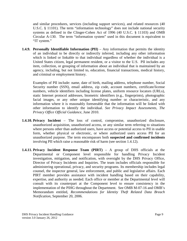and similar procedures, services (including support services), and related resources (40 U.S.C. § 11101). The term "information technology" does not include national security systems as defined in the Clinger-Cohen Act of 1996 (40 U.S.C. § 11103) and OMB Circular A-130. The term "information system" used in this document is equivalent to "IT system."

**1.4.9. Personally Identifiable Information (PII)** – Any information that permits the identity of an individual to be directly or indirectly inferred, including any other information which is linked or linkable to that individual regardless of whether the individual is a United States citizen, legal permanent resident, or a visitor to the U.S. PII includes any item, collection, or grouping of information about an individual that is maintained by an agency, including, but not limited to, education, financial transactions, medical history, and criminal or employment history.

Examples of PII include: name, date of birth, mailing address, telephone number, Social Security number (SSN), email address, zip code, account numbers, certificate/license numbers, vehicle identifiers including license plates, uniform resource locators (URLs), static Internet protocol addresses, biometric identifiers (e.g., fingerprints), photographic facial images, or any other unique identifying number or characteristic, and any information where it is reasonably foreseeable that the information will be linked with other information to identify the individual. *See Privacy Impact Assessments, The Privacy Office Official Guidance*, June 2010.

- **1.4.10. Privacy Incident** The loss of control, compromise, unauthorized disclosure, unauthorized acquisition, unauthorized access, or any similar term referring to situations where persons other than authorized users, have access or potential access to PII in usable form, whether physical or electronic, or where authorized users access PII for an unauthorized purpose. The term encompasses both **suspected and confirmed incidents** involving PII which raise a reasonable risk of harm (see section 1.4.12).
- **1.4.11. Privacy Incident Response Team (PIRT)** A group of DHS officials at the Departmental or Component level responsible for handling Privacy Incident investigation, mitigation, and notification, with oversight by the DHS Privacy Office, Director of Privacy Incidents and Inquiries. The team includes officials responsible for administering operational, privacy, and security programs. Its membership includes legal counsel, the inspector general, law enforcement, and public and legislative affairs. Each PIRT member provides assistance with incident handling based on their capability, expertise, and authority as needed. Each office or member at the Departmental level will consult with its counterpart at the Component level to ensure consistency in the implementation of the PIHG throughout the Department. See OMB M-07-16 and OMB's Memorandum entitled, *Recommendations for Identity Theft Related Data Breach Notification*, September 20, 2006.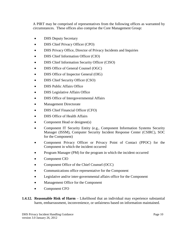A PIRT may be comprised of representatives from the following offices as warranted by circumstances. These offices also comprise the Core Management Group:

- DHS Deputy Secretary
- DHS Chief Privacy Officer (CPO)
- DHS Privacy Office, Director of Privacy Incidents and Inquiries
- DHS Chief Information Officer (CIO)
- DHS Chief Information Security Officer (CISO)
- DHS Office of General Counsel (OGC)
- DHS Office of Inspector General (OIG)
- DHS Chief Security Officer (CSO)
- DHS Public Affairs Office
- DHS Legislative Affairs Office
- DHS Office of Intergovernmental Affairs
- Management Directorate
- DHS Chief Financial Officer (CFO)
- DHS Office of Health Affairs
- Component Head or designee(s)
- Component IT Security Entity (e.g., Component Information Systems Security Manager (ISSM), Computer Security Incident Response Center (CSIRC), SOC for the Component)
- Component Privacy Officer or Privacy Point of Contact (PPOC) for the Component in which the incident occurred
- Program Manager (PM) for the program in which the incident occurred
- Component CIO
- Component Office of the Chief Counsel (OCC)
- Communications office representative for the Component
- Legislative and/or inter-governmental affairs office for the Component
- Management Office for the Component
- Component CFO
- **1.4.12. Reasonable Risk of Harm** Likelihood that an individual may experience substantial harm, embarrassment, inconvenience, or unfairness based on information maintained.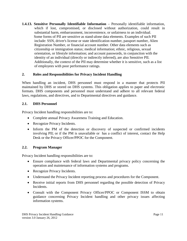**1.4.13. Sensitive Personally Identifiable Information** – Personally identifiable information, which if lost, compromised, or disclosed without authorization, could result in substantial harm, embarrassment, inconvenience, or unfairness to an individual. Some forms of PII are sensitive as stand-alone data elements. Examples of such PII include: SSN, driver's license or state identification number, passport number, Alien Registration Number, or financial account number. Other data elements such as citizenship or immigration status; medical information; ethnic, religious, sexual orientation, or lifestyle information; and account passwords, in conjunction with the identity of an individual (directly or indirectly inferred), are also Sensitive PII. Additionally, the context of the PII may determine whether it is sensitive, such as a list of employees with poor performance ratings.

## **2. Roles and Responsibilities for Privacy Incident Handling**

When handling an incident, DHS personnel must respond in a manner that protects PII maintained by DHS or stored on DHS systems. This obligation applies to paper and electronic formats. DHS components and personnel must understand and adhere to all relevant federal laws, regulations, and directives, and to Departmental directives and guidance.

## **2.1. DHS Personnel**

Privacy Incident handling responsibilities are to:

- Complete annual Privacy Awareness Training and Education.
- Recognize Privacy Incidents.
- Inform the PM of the detection or discovery of suspected or confirmed incidents involving PII; or if the PM is unavailable or has a conflict of interest, contact the Help Desk or the Privacy Officer/PPOC for the Component.

## **2.2. Program Manager**

- Ensure compliance with federal laws and Departmental privacy policy concerning the operation and maintenance of information systems and programs.
- Recognize Privacy Incidents.
- Understand the Privacy Incident reporting process and procedures for the Component.
- Receive initial reports from DHS personnel regarding the possible detection of Privacy Incidents.
- Consult with the Component Privacy Officer/PPOC or Component ISSM to obtain guidance concerning Privacy Incident handling and other privacy issues affecting information systems.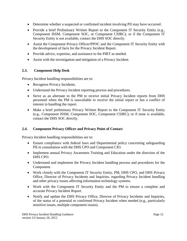- Determine whether a suspected or confirmed incident involving PII may have occurred.
- Provide a brief Preliminary Written Report to the Component IT Security Entity (e.g., Component ISSM, Component SOC, or Component CSIRC); or if the Component IT Security Entity is not available, contact the DHS SOC directly.
- Assist the Component Privacy Officer/PPOC and the Component IT Security Entity with the development of facts for the Privacy Incident Report.
- Provide advice, expertise, and assistance to the PIRT as needed.
- Assist with the investigation and mitigation of a Privacy Incident.

## **2.3. Component Help Desk**

Privacy Incident handling responsibilities are to:

- Recognize Privacy Incidents.
- Understand the Privacy Incident reporting process and procedures.
- Serve as an alternate to the PM to receive initial Privacy Incident reports from DHS personnel when the PM is unavailable to receive the initial report or has a conflict of interest in handling the report.
- Make a brief preliminary Privacy Written Report to the Component IT Security Entity (e.g., Component ISSM, Component SOC, Component CSIRC); or if none is available, contact the DHS SOC directly.

# **2.4. Component Privacy Officer and Privacy Point of Contact**

- Ensure compliance with federal laws and Departmental policy concerning safeguarding PII in consultation with the DHS CPO and Component CIO.
- Implement annual Privacy Awareness Training and Education under the direction of the DHS CPO.
- Understand and implement the Privacy Incident handling process and procedures for the Component.
- Work closely with the Component IT Security Entity, PM, DHS CPO, and DHS Privacy Office, Director of Privacy Incidents and Inquiries, regarding Privacy Incident handling and other privacy issues affecting information technology systems.
- Work with the Component IT Security Entity and the PM to ensure a complete and accurate Privacy Incident Report.
- Notify and update the DHS Privacy Office, Director of Privacy Incidents and Inquiries, of the status of a potential or confirmed Privacy Incident when needed (e.g., particularly sensitive issues, multiple component issues).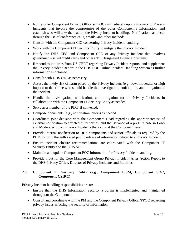- Notify other Component Privacy Officers/PPOCs immediately upon discovery of Privacy Incidents that involve the compromise of the other Component's information, and establish who will take the lead on the Privacy Incident handling. Notification can occur through the use of conference calls, emails, and other methods.
- Consult with the Component CIO concerning Privacy Incident handling.
- Work with the Component IT Security Entity to mitigate the Privacy Incident.
- Notify the DHS CFO and Component CFO of any Privacy Incident that involves government-issued credit cards and other CFO Designated Financial Systems.
- Respond to inquiries from US-CERT regarding Privacy Incident reports, and supplement the Privacy Incident Report in the DHS EOC Online Incident Handling System as further information is obtained.
- Consult with DHS OIG as necessary.
- Assess the likely risk of harm posed by the Privacy Incident (e.g., low, moderate, or high impact) to determine who should handle the investigation, notification, and mitigation of the incident.
- Handle the investigation, notification, and mitigation for all Privacy Incidents in collaboration with the Component IT Security Entity as needed.
- Serve as a member of the PIRT if convened.
- Compose documents (e.g., notification letters) as needed.
- Coordinate joint decision with the Component Head regarding the appropriateness of external notification to affected third parties, and the issuance of a press release in Lowand Moderate-Impact Privacy Incidents that occur at the Component level.
- Provide internal notification to DHS components and senior officials as required by the PIHG prior to the authorized public release of information related to a Privacy Incident.
- Ensure incident closure recommendations are coordinated with the Component IT Security Entity and the DHS SOC.
- Maintain and update Component POC information for Privacy Incident handling.
- Provide input for the Core Management Group Privacy Incident After Action Report to the DHS Privacy Office, Director of Privacy Incidents and Inquiries.

## **2.5. Component IT Security Entity (e.g., Component ISSM, Component SOC, Component CSIRC)**

- Ensure that the DHS Information Security Program is implemented and maintained throughout the Component.
- Consult and coordinate with the PM and the Component Privacy Officer/PPOC regarding privacy issues affecting the security of information.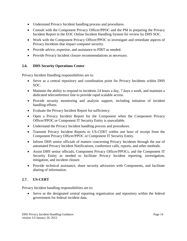- Understand Privacy Incident handling process and procedures.
- Consult with the Component Privacy Officer/PPOC and the PM in preparing the Privacy Incident Report in the EOC Online Incident Handling System for review by DHS SOC.
- Work with the Component Privacy Officer/PPOC to investigate and remediate aspects of Privacy Incidents that impact computer security.
- Provide advice, expertise, and assistance to PIRT as needed.
- Provide Privacy Incident closure recommendations as necessary.

## **2.6. DHS Security Operations Center**

Privacy Incident Handling responsibilities are to:

- Serve as a central repository and coordination point for Privacy Incidents within DHS SOC.
- Maintain the ability to respond to incidents 24 hours a day, 7 days a week, and maintain a dedicated teleconference line to provide rapid scalable access.
- Provide security monitoring and analysis support, including initiation of incident handling efforts.
- Evaluate the Privacy Incident Report for sufficiency.
- Open a Privacy Incident Report for the Component when the Component Privacy Officer/PPOC or Component IT Security Entity is unavailable.
- Understand the Privacy Incident handling process and procedures.
- Transmit Privacy Incident Reports to US-CERT within one hour of receipt from the Component Privacy Officer/PPOC or Component IT Security Entity.
- Inform DHS senior officials of matters concerning Privacy Incidents through the use of automated Privacy Incident Notifications, conference calls, reports, and other methods.
- Assist DHS senior officials, Component Privacy Officer/PPOCs, and the Component IT Security Entity as needed to facilitate Privacy Incident reporting, investigation, mitigation, and incident closure.
- Provide technical assistance, share security advisories with Components, and facilitate sharing of information.

# **2.7. US-CERT**

Privacy Incident handling responsibilities are to:

• Serve as the designated central reporting organization and repository within the federal government for federal incident data.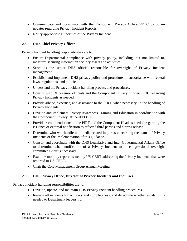- Communicate and coordinate with the Component Privacy Officer/PPOC to obtain updates regarding Privacy Incident Reports.
- Notify appropriate authorities of the Privacy Incident.

## **2.8. DHS Chief Privacy Officer**

Privacy Incident handling responsibilities are to:

- Ensure Departmental compliance with privacy policy, including, but not limited to, measures securing information security assets and activities.
- Serve as the senior DHS official responsible for oversight of Privacy Incident management.
- Establish and implement DHS privacy policy and procedures in accordance with federal laws, regulations, and policies.
- Understand the Privacy Incident handling process and procedures.
- Consult with DHS senior officials and the Component Privacy Officer/PPOC regarding Privacy Incidents as needed.
- Provide advice, expertise, and assistance to the PIRT, when necessary, in the handling of Privacy Incidents.
- Develop and implement Privacy Awareness Training and Education in coordination with the Component Privacy Officer/PPOCs.
- Provide recommendations to the PIRT and the Component Head as needed regarding the issuance of external notification to affected third parties and a press release.
- Determine who will handle non-media-related inquiries concerning the status of Privacy Incidents or the implementation of this guidance.
- Consult and coordinate with the DHS Legislative and Inter-Governmental Affairs Office to determine when notification of a Privacy Incident to the congressional oversight committee Chair is necessary.
- Examine monthly reports issued by US-CERT addressing the Privacy Incidents that were reported to US-CERT.
- Chair the Core Management Group Annual Meeting

# **2.9. DHS Privacy Office, Director of Privacy Incidents and Inquiries**

- Develop, update, and maintain DHS Privacy Incident handling procedures.
- Review all incidents for accuracy and completeness, and determine whether escalation is needed to Department leadership.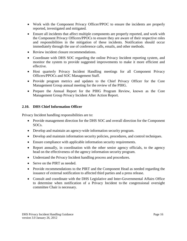- Work with the Component Privacy Officer/PPOC to ensure the incidents are properly reported, investigated and mitigated.
- Ensure all incidents that affect multiple components are properly reported, and work with the Component Privacy Officers/PPOCs to ensure they are aware of their respective roles and responsibilities in the mitigation of these incidents. Notification should occur immediately through the use of conference calls, emails, and other methods.
- Review incident closure recommendations.
- Coordinate with DHS SOC regarding the online Privacy Incident reporting system, and monitor the system to provide suggested improvements to make it more efficient and effective.
- Host quarterly Privacy Incident Handling meetings for all Component Privacy Officers/PPOCs and SOC Management Staff.
- Provide program metrics and updates to the Chief Privacy Officer for the Core Management Group annual meeting for the review of the PIHG.
- Prepare the Annual Report for the PIHG Program Review, known as the Core Management Group Privacy Incident After Action Report.

## **2.10. DHS Chief Information Officer**

- Provide management direction for the DHS SOC and overall direction for the Component SOCs.
- Develop and maintain an agency-wide information security program.
- Develop and maintain information security policies, procedures, and control techniques.
- Ensure compliance with applicable information security requirements.
- Report annually, in coordination with the other senior agency officials, to the agency head on the effectiveness of the agency information security program.
- Understand the Privacy Incident handling process and procedures.
- Serve on the PIRT as needed.
- Provide recommendations to the PIRT and the Component Head as needed regarding the issuance of external notification to affected third parties and a press release.
- Consult and coordinate with the DHS Legislative and Inter-Governmental Affairs Office to determine when notification of a Privacy Incident to the congressional oversight committee Chair is necessary.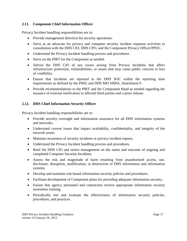## **2.11. Component Chief Information Officer**

Privacy Incident handling responsibilities are to:

- Provide management direction for security operations.
- Serve as an advocate for privacy and computer security incident response activities in consultation with the DHS CIO, DHS CPO, and the Component Privacy Officer/PPOC.
- Understand the Privacy Incident handling process and procedures.
- Serve on the PIRT for the Component as needed.
- Advise the DHS CIO of any issues arising from Privacy Incidents that affect infrastructure protection, vulnerabilities, or issues that may cause public concern or loss of credibility.
- Ensure that incidents are reported to the DHS SOC within the reporting time requirements as defined by the PIHG and DHS MD 4300A, Attachment F.
- Provide recommendations to the PIRT and the Component Head as needed regarding the issuance of external notification to affected third parties and a press release.

# **2.12. DHS Chief Information Security Officer**

- Provide security oversight and information assurance for all DHS information systems and networks.
- Understand current issues that impact availability, confidentiality, and integrity of the network assets.
- Maintain awareness of security incidents or privacy incident reports.
- Understand the Privacy Incident handling process and procedures.
- Brief the DHS CIO and senior management on the status and outcome of ongoing and completed Computer Security Incidents.
- Assess the risk and magnitude of harm resulting from unauthorized access, use, disclosure, disruption, modification, or destruction of DHS information and information systems.
- Develop and maintain risk-based information security policies and procedures.
- Facilitate development of Component plans for providing adequate information security.
- Ensure that agency personnel and contractors receive appropriate information security awareness training.
- Periodically test and evaluate the effectiveness of information security policies, procedures, and practices.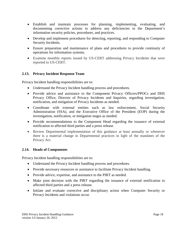- Establish and maintain processes for planning, implementing, evaluating, and documenting corrective actions to address any deficiencies in the Department's information security policies, procedures, and practices.
- Develop and implement procedures for detecting, reporting, and responding to Computer Security Incidents.
- Ensure preparation and maintenance of plans and procedures to provide continuity of operations for information systems.
- Examine monthly reports issued by US-CERT addressing Privacy Incidents that were reported to US-CERT.

## **2.13. Privacy Incident Response Team**

Privacy Incident handling responsibilities are to:

- Understand the Privacy Incident handling process and procedures.
- Provide advice and assistance to the Component Privacy Officers/PPOCs and DHS Privacy Office, Director of Privacy Incidents and Inquiries, regarding investigation, notification, and mitigation of Privacy Incidents as needed.
- Coordinate with external entities such as law enforcement, Social Security Administration (SSA), and the Executive Office of the President (EOP) during the investigation, notification, or mitigation stages as needed.
- Provide recommendations to the Component Head regarding the issuance of external notification to affected third parties and a press release.
- Review Departmental implementation of this guidance at least annually or whenever there is a material change in Departmental practices in light of the mandates of the Privacy Act.

## **2.14. Heads of Components**

- Understand the Privacy Incident handling process and procedures.
- Provide necessary resources or assistance to facilitate Privacy Incident handling.
- Provide advice, expertise, and assistance to the PIRT as needed.
- Make joint decision with the PIRT regarding the issuance of external notification to affected third parties and a press release.
- Initiate and evaluate corrective and disciplinary action when Computer Security or Privacy Incidents and violations occur.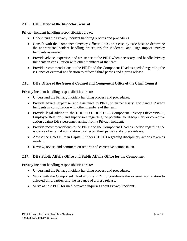## **2.15. DHS Office of the Inspector General**

Privacy Incident handling responsibilities are to:

- Understand the Privacy Incident handling process and procedures.
- Consult with the Component Privacy Officer/PPOC on a case-by-case basis to determine the appropriate incident handling procedures for Moderate- and High-Impact Privacy Incidents as needed.
- Provide advice, expertise, and assistance to the PIRT when necessary, and handle Privacy Incidents in consultation with other members of the team.
- Provide recommendations to the PIRT and the Component Head as needed regarding the issuance of external notification to affected third parties and a press release.

## **2.16. DHS Office of the General Counsel and Component Office of the Chief Counsel**

Privacy Incident handling responsibilities are to:

- Understand the Privacy Incident handling process and procedures.
- Provide advice, expertise, and assistance to PIRT, when necessary, and handle Privacy Incidents in consultation with other members of the team.
- Provide legal advice to the DHS CPO, DHS CIO, Component Privacy Officer/PPOC, Employee Relations, and supervisors regarding the potential for disciplinary or corrective action against DHS personnel arising from a Privacy Incident.
- Provide recommendations to the PIRT and the Component Head as needed regarding the issuance of external notification to affected third parties and a press release.
- Advise the Chief Human Capital Officer (CHCO) regarding disciplinary actions taken as needed.
- Review, revise, and comment on reports and corrective actions taken.

# **2.17. DHS Public Affairs Office and Public Affairs Office for the Component**

- Understand the Privacy Incident handling process and procedures.
- Work with the Component Head and the PIRT to coordinate the external notification to affected third parties, and the issuance of a press release.
- Serve as sole POC for media-related inquiries about Privacy Incidents.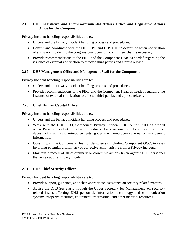## **2.18. DHS Legislative and Inter-Governmental Affairs Office and Legislative Affairs Office for the Component**

Privacy Incident handling responsibilities are to:

- Understand the Privacy Incident handling process and procedures.
- Consult and coordinate with the DHS CPO and DHS CIO to determine when notification of a Privacy Incident to the congressional oversight committee Chair is necessary.
- Provide recommendations to the PIRT and the Component Head as needed regarding the issuance of external notification to affected third parties and a press release.

## **2.19. DHS Management Office and Management Staff for the Component**

Privacy Incident handling responsibilities are to:

- Understand the Privacy Incident handling process and procedures.
- Provide recommendations to the PIRT and the Component Head as needed regarding the issuance of external notification to affected third parties and a press release.

## **2.20. Chief Human Capital Officer**

Privacy Incident handling responsibilities are to:

- Understand the Privacy Incident handling process and procedures.
- Work with the DHS CFO, Component Privacy Officer/PPOC, or the PIRT as needed when Privacy Incidents involve individuals' bank account numbers used for direct deposit of credit card reimbursements, government employee salaries, or any benefit information.
- Consult with the Component Head or designee(s), including Component OCC, in cases involving potential disciplinary or corrective action arising from a Privacy Incident.
- Maintain a record of all disciplinary or corrective actions taken against DHS personnel that arise out of a Privacy Incident.

## **2.21. DHS Chief Security Officer**

- Provide support, guidance, and when appropriate, assistance on security related matters.
- Advise the DHS Secretary, through the Under Secretary for Management, on securityrelated issues affecting DHS personnel, information technology and communication systems, property, facilities, equipment, information, and other material resources.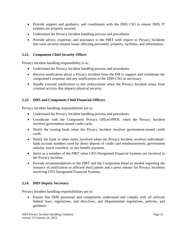- Provide support and guidance, and coordinates with the DHS CIO to ensure DHS IT systems are properly secured.
- Understand the Privacy Incident handling process and procedures.
- Provide advice, expertise, and assistance to the PIRT with respect to Privacy Incidents that raise security-related issues affecting personnel, property, facilities, and information.

## **2.22. Component Chief Security Officer**

Privacy Incident handling responsibility is to:

- Understand the Privacy Incident handling process and procedures.
- Receive notification about a Privacy Incident from the PM to support and coordinate the component's response and any notifications to the DHS CSO as necessary.
- Handle external notification to law enforcement when the Privacy Incident arises from criminal activity that impacts physical security.

# **2.23. DHS and Component Chief Financial Officers**

Privacy Incident handling responsibilities are to:

- Understand the Privacy Incident handling process and procedures.
- Coordinate with the Component Privacy Officer/PPOC when the Privacy Incident involves government-issued credit cards.
- Notify the issuing bank when the Privacy Incident involves government-issued credit cards.
- Notify the bank or other entity involved when the Privacy Incident involves individuals' bank account numbers used for direct deposit of credit card reimbursements, government salaries, travel vouchers, or any benefit payment.
- Serve as a member of the PIRT when CFO Designated Financial Systems are involved in the Privacy Incident.
- Provide recommendations to the PIRT and the Component Head as needed regarding the issuance of notification to affected third parties and a press release for Privacy Incidents involving CFO Designated Financial Systems.

# **2.24. DHS Deputy Secretary**

Privacy Incident handling responsibilities are to:

• Ensure that DHS personnel and components understand and comply with all relevant federal laws, regulations, and directives, and Departmental regulations, policies, and guidance.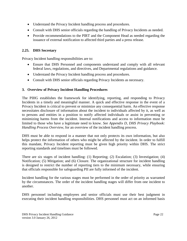- Understand the Privacy Incident handling process and procedures.
- Consult with DHS senior officials regarding the handling of Privacy Incidents as needed.
- Provide recommendations to the PIRT and the Component Head as needed regarding the issuance of external notification to affected third parties and a press release.

## **2.25. DHS Secretary**

Privacy Incident handling responsibilities are to:

- Ensure that DHS Personnel and components understand and comply with all relevant federal laws, regulations, and directives, and Departmental regulations and guidance.
- Understand the Privacy Incident handling process and procedures.
- Consult with DHS senior officials regarding Privacy Incidents as necessary.

## **3. Overview of Privacy Incident Handling Procedures**

The PIHG establishes the framework for identifying, reporting, and responding to Privacy Incidents in a timely and meaningful manner. A quick and effective response in the event of a Privacy Incident is critical to prevent or minimize any consequential harm. An effective response necessitates disclosure of information about the incident to individuals affected by it, as well as to persons and entities in a position to notify affected individuals or assist in preventing or minimizing harms from the incident. Internal notifications and access to information must be limited to those who have a legitimate need to know. *See Appendix D, DHS Privacy Playbook: Handling Process Overview,* for an overview of the incident handling process.

DHS must be able to respond in a manner that not only protects its own information, but also helps protect the information of others who might be affected by the incident. In order to fulfill this mandate, Privacy Incident reporting must be given high priority within DHS. The strict reporting standards and timelines must be followed.

There are six stages of incident handling: (1) Reporting; (2) Escalation; (3) Investigation; (4) Notification; (5) Mitigation; and (6) Closure. The organizational structure for incident handling is designed to restrict the number of reporting tiers to the minimum necessary, while ensuring that officials responsible for safeguarding PII are fully informed of the incident.

Incident handling for the various stages must be performed in the order of priority as warranted by the circumstances. The order of the incident handling stages will differ from one incident to another.

DHS personnel including employees and senior officials must use their best judgment in executing their incident handling responsibilities. DHS personnel must act on an informed basis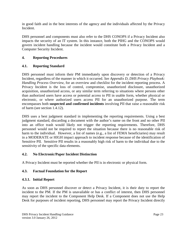in good faith and in the best interests of the agency and the individuals affected by the Privacy Incident.

DHS personnel and components must also refer to the DHS CONOPS if a Privacy Incident also impacts the security of an IT system. In this instance, both the PIHG and the CONOPS would govern incident handling because the incident would constitute both a Privacy Incident and a Computer Security Incident.

## **4. Reporting Procedures**

## **4.1. Reporting Standard**

DHS personnel must inform their PM immediately upon discovery or detection of a Privacy Incident, regardless of the manner in which it occurred. *See Appendix D, DHS Privacy Playbook: Handling Process Overview,* for an overview and checklist for the incident reporting process. A Privacy Incident is the loss of control, compromise, unauthorized disclosure, unauthorized acquisition, unauthorized access, or any similar term referring to situations where persons other than authorized users have access or potential access to PII in usable form, whether physical or electronic, or where authorized users access PII for an unauthorized purpose. The term encompasses both **suspected and confirmed incidents** involving PII that raise a reasonable risk of harm (see section 1.4.12).

DHS uses a best judgment standard in implementing the reporting requirements. Using a best judgment standard, discarding a document with the author's name on the front and no other PII into an office trash would likely not trigger the reporting requirements. Therefore, DHS personnel would not be required to report the situation because there is no reasonable risk of harm to the individual. However, a list of names (e.g., a list of FEMA beneficiaries) may result in a MODERATE or HIGH impact approach to incident response because of the identification of Sensitive PII. Sensitive PII results in a reasonably high risk of harm to the individual due to the sensitivity of the specific data elements.

## **4.2. No Electronic/Paper Incident Distinction**

A Privacy Incident must be reported whether the PII is in electronic or physical form.

## **4.3. Factual Foundation for the Report**

## **4.3.1. Initial Report**

As soon as DHS personnel discover or detect a Privacy Incident, it is their duty to report the incident to the PM. If the PM is unavailable or has a conflict of interest, then DHS personnel may report the incident to the Component Help Desk. If a Component does not use the Help Desk for purposes of incident reporting, DHS personnel may report the Privacy Incident directly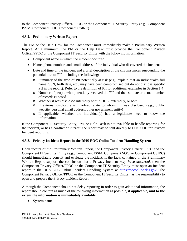to the Component Privacy Officer/PPOC or the Component IT Security Entity (e.g., Component ISSM, Component SOC, Component CSIRC).

# **4.3.2. Preliminary Written Report**

The PM or the Help Desk for the Component must immediately make a Preliminary Written Report. At a minimum, the PM or the Help Desk must provide the Component Privacy Officer/PPOC or the Component IT Security Entity with the following information:

- Component name in which the incident occurred
- Name, phone number, and email address of the individual who discovered the incident
- Date and time of the incident and a brief description of the circumstances surrounding the potential loss of PII, including the following:
	- o Summary of the type of PII potentially at risk (e.g., explain that an individual's full name, SSN, birth date, etc., may have been compromised but do not disclose specific PII in the report). Refer to the definition of PII for additional examples in Section 1.4
	- o Number of people who potentially received the PII and the estimate or actual number of records exposed
	- o Whether it was disclosed internally within DHS, externally, or both
	- o If external disclosure is involved, state to whom it was disclosed (e.g., public website, personal email address, other government entity)
	- o If applicable, whether the individual(s) had a legitimate need to know the information.

If the Component IT Security Entity, PM, or Help Desk is not available to handle reporting for the incident, or has a conflict of interest, the report may be sent directly to DHS SOC for Privacy Incident reporting.

## **4.3.3. Privacy Incident Report in the DHS EOC Online Incident Handling System**

Upon receipt of the Preliminary Written Report, the Component Privacy Officer/PPOC and the Component IT Security Entity (e.g., Component ISSM, Component SOC, or Component CSIRC) should immediately consult and evaluate the incident. If the facts contained in the Preliminary Written Report support the conclusion that a Privacy Incident *may have occurred*, then the Component Privacy Officer/PPOC or the Component IT Security Entity must open an incident report in the DHS EOC Online Incident Handling System at [https://eoconline.dhs.gov.](https://eoconline.dhs.gov/) The Component Privacy Officer/PPOC or the Component IT Security Entity has the responsibility to open and prepare the Privacy Incident Report.

Although the Component should not delay reporting in order to gain additional information, the report should contain as much of the following information as possible, **if applicable, and to the extent the information is immediately available**:

• System name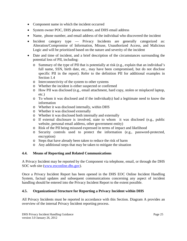- Component name in which the incident occurred
- System owner POC, DHS phone number, and DHS email address
- Name, phone number, and email address of the individual who discovered the incident
- Incident category type Privacy Incidents are generally categorized as: Alteration/Compromise of Information, Misuse, Unauthorized Access, and Malicious Logic and will be prioritized based on the nature and severity of the incident
- Date and time of incident, and a brief description of the circumstances surrounding the potential loss of PII, including:
	- o Summary of the type of PII that is potentially at risk (e.g., explain that an individual's full name, SSN, birth date, etc., may have been compromised, but do not disclose specific PII in the report). Refer to the definition PII for additional examples in Section 1.4
	- o Interconnectivity of the system to other systems
	- o Whether the incident is either suspected or confirmed
	- o How PII was disclosed (e.g., email attachment, hard copy, stolen or misplaced laptop, etc.)
	- o To whom it was disclosed and if the individual(s) had a legitimate need to know the information
	- o Whether it was disclosed internally, within DHS
	- o Whether it was disclosed externally
	- o Whether it was disclosed both internally and externally
	- o If external disclosure is involved, state to whom it was disclosed (e.g., public website, personal email address, other government entity)
	- o Risk of the PII being misused expressed in terms of impact and likelihood
	- o Security controls used to protect the information (e.g., password-protected, encryption)
	- o Steps that have already been taken to reduce the risk of harm
	- o Any additional steps that may be taken to mitigate the situation

# **4.4. Means of Reporting and Related Communications**

A Privacy Incident may be reported by the Component via telephone, email, or through the DHS SOC web site [\(www.eoconline.dhs.gov\)](http://www.eoconline.dhs.gov/).

Once a Privacy Incident Report has been opened in the DHS EOC Online Incident Handling System, factual updates and subsequent communications concerning any aspect of incident handling should be entered into the Privacy Incident Report to the extent possible.

# **4.5. Organizational Structure for Reporting a Privacy Incident within DHS**

All Privacy Incidents must be reported in accordance with this Section. Diagram A provides an overview of the internal Privacy Incident reporting process.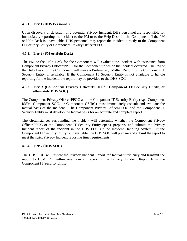#### **4.5.1. Tier 1 (DHS Personnel)**

Upon discovery or detection of a potential Privacy Incident, DHS personnel are responsible for immediately reporting the incident to the PM or to the Help Desk for the Component. If the PM or Help Desk is unavailable, DHS personnel may report the incident directly to the Component IT Security Entity or Component Privacy Officer/PPOC.

## **4.5.2. Tier 2 (PM or Help Desk)**

The PM or the Help Desk for the Component will evaluate the incident with assistance from Component Privacy Officer/PPOC for the Component in which the incident occurred. The PM or the Help Desk for the Component will make a Preliminary Written Report to the Component IT Security Entity, if available. If the Component IT Security Entity is not available to handle reporting for the incident, the report may be provided to the DHS SOC.

#### **4.5.3. Tier 3 (Component Privacy Officer/PPOC or Component IT Security Entity, or alternately DHS SOC)**

The Component Privacy Officer/PPOC and the Component IT Security Entity (e.g., Component ISSM, Component SOC, or Component CSIRC) must immediately consult and evaluate the factual basis of the incident. The Component Privacy Officer/PPOC and the Component IT Security Entity must develop the factual basis for an accurate and complete report.

The circumstances surrounding the incident will determine whether the Component Privacy Officer/PPOC or the Component IT Security Entity opens, prepares, and submits the Privacy Incident report of the incident in the DHS EOC Online Incident Handling System. If the Component IT Security Entity is unavailable, the DHS SOC will prepare and submit the report to meet the strict Privacy Incident reporting time requirements.

#### **4.5.4. Tier 4 (DHS SOC)**

The DHS SOC will review the Privacy Incident Report for factual sufficiency and transmit the report to US-CERT within one hour of receiving the Privacy Incident Report from the Component IT Security Entity.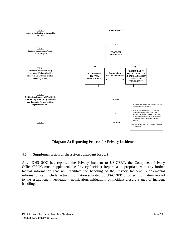

**Diagram A: Reporting Process for Privacy Incidents**

## **4.6. Supplementation of the Privacy Incident Report**

After DHS SOC has reported the Privacy Incident to US-CERT, the Component Privacy Officer/PPOC must supplement the Privacy Incident Report, as appropriate, with any further factual information that will facilitate the handling of the Privacy Incident. Supplemental information can include factual information solicited by US-CERT, or other information related to the escalation, investigation, notification, mitigation, or incident closure stages of incident handling.

DHS Privacy Incident Handling Guidance version 3.0 January 26, 2012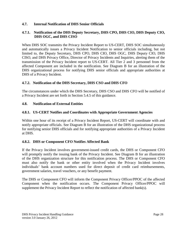## **4.7. Internal Notification of DHS Senior Officials**

## **4.7.1. Notification of the DHS Deputy Secretary, DHS CPO, DHS CIO, DHS Deputy CIO, DHS OGC, and DHS CISO**

When DHS SOC transmits the Privacy Incident Report to US-CERT, DHS SOC simultaneously and automatically issues a Privacy Incident Notification to senior officials including, but not limited to, the Deputy Secretary, DHS CPO, DHS CIO, DHS OGC, DHS Deputy CIO, DHS CISO, and DHS Privacy Office, Director of Privacy Incidents and Inquiries, alerting them of the transmission of the Privacy Incident report to US-CERT. All Tier 2 and 3 personnel from the affected Component are included in the notification. See Diagram B for an illustration of the DHS organizational process for notifying DHS senior officials and appropriate authorities at DHS of a Privacy Incident.

#### **4.7.2. Notification of the DHS Secretary, DHS CSO and DHS CFO**

The circumstances under which the DHS Secretary, DHS CSO and DHS CFO will be notified of a Privacy Incident are set forth in Section 5.4.5 of this guidance.

#### **4.8. Notification of External Entities**

#### **4.8.1. US-CERT Notifies and Coordinates with Appropriate Government Agencies**

Within one hour of its receipt of a Privacy Incident Report, US-CERT will coordinate with and notify appropriate officials. See Diagram B for an illustration of the DHS organizational process for notifying senior DHS officials and for notifying appropriate authorities of a Privacy Incident at DHS.

#### **4.8.2. DHS or Component CFO Notifies Affected Bank**

If the Privacy Incident involves government-issued credit cards, the DHS or Component CFO will promptly notify the issuing bank of the Privacy Incident. See Diagram B for an illustration of the DHS organization structure for this notification process. The DHS or Component CFO must also notify the bank or other entity involved when the Privacy Incident involves individuals' bank account numbers used for direct deposit of credit card reimbursements, government salaries, travel vouchers, or any benefit payment.

The DHS or Component CFO will inform the Component Privacy Officer/PPOC of the affected Component when the notification occurs. The Component Privacy Officer/PPOC will supplement the Privacy Incident Report to reflect the notification of affected bank(s).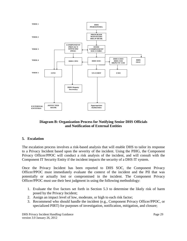

## **Diagram B: Organization Process for Notifying Senior DHS Officials and Notification of External Entities**

## **5. Escalation**

The escalation process involves a risk-based analysis that will enable DHS to tailor its response to a Privacy Incident based upon the severity of the incident. Using the PIHG, the Component Privacy Officer/PPOC will conduct a risk analysis of the incident, and will consult with the Component IT Security Entity if the incident impacts the security of a DHS IT system.

Once the Privacy Incident has been reported to DHS SOC, the Component Privacy Officer/PPOC must immediately evaluate the context of the incident and the PII that was potentially or actually lost or compromised in the incident. The Component Privacy Officer/PPOC must use their best judgment in using the following methodology:

- 1. Evaluate the five factors set forth in Section 5.3 to determine the likely risk of harm posed by the Privacy Incident;
- 2. Assign an impact level of low, moderate, or high to each risk factor;
- 3. Recommend who should handle the incident (e.g., Component Privacy Officer/PPOC, or specialized PIRT) for purposes of investigation, notification, mitigation, and closure;

DHS Privacy Incident Handling Guidance version 3.0 January 26, 2012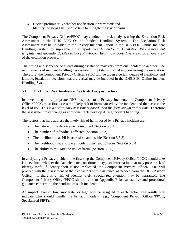- 4. Decide preliminarily whether notification is warranted; and
- 5. Identify the steps DHS should take to mitigate the risk of harm.

The Component Privacy Officer/PPOC may conduct the risk analysis using the Escalation Risk Assessment in the DHS EOC Online Incident Handling System. The Escalation Risk Assessment may be uploaded to the Privacy Incident Report in the DHS EOC Online Incident Handling System to supplement the report. *See Appendix E, Escalation Risk Assessment template,* and *Appendix D, DHS Privacy Playbook: Handling Process Overview,* for an overview of the escalation process.

The timing and sequence of events during escalation may vary from one incident to another. The requirements of incident handling necessitate prompt decision-making concerning the escalation. Therefore, the Component Privacy Officer/PPOC will be given a certain degree of flexibility and latitude. Escalation decisions that are verbal may be included in the DHS EOC Online Incident Handling System.

## **5.1. The Initial Risk Analysis – Five Risk Analysis Factors**

In developing the appropriate DHS response to a Privacy Incident, the Component Privacy Officer/PPOC must first assess the likely risk of harm caused by the incident and then assess the level of risk. This is a *preliminary assessment based upon the facts known at that time*. Therefore the assessment may change as additional facts develop during incident handling.

The factors that help address the likely risk of harm posed by a Privacy Incident are:

- The nature of the data elements involved (Section 5.3.1)
- The number of individuals affected (Section 5.3.2)
- The likelihood that PII is accessible and usable (Section 5.3.3)
- The likelihood that a Privacy Incident may lead to harm (Section 5.3.4)
- The ability to mitigate the risk of harm (Section 5.3.5)

In analyzing a Privacy Incident, the first step the Component Privacy Officer/PPOC should take is to evaluate whether the data elements constitute the type of information that may pose a risk of identity theft. If identity theft is not implicated, the Component Privacy Officer/PPOC will proceed with the assessment of the five factors with assistance, as needed from the DHS Privacy Office. If there is a risk of identity theft, specialized attention may be warranted. The Component Privacy Officer/PPOC should refer to Appendix F for substantive and procedural guidance concerning the handling of such incidents.

An impact level of low, moderate, or high will be assigned to each factor. The results will indicate who should handle the Privacy Incident (e.g., Component Privacy Officer/PPOC, Specialized PIRT).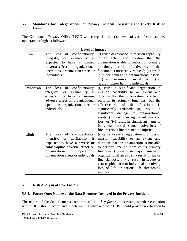#### **5.2. Standards for Categorization of Privacy Incident: Assessing the Likely Risk of Harm**

The Component Privacy Officer/PPOC will categorize the risk level of each factor as low, moderate, or high as follows:

|                 | <b>Level of Impact</b>                |                                                                                          |
|-----------------|---------------------------------------|------------------------------------------------------------------------------------------|
| Low             | of confidentiality,<br>The<br>loss    | (i) cause degradation in mission capability                                              |
|                 | availability<br>is<br>integrity, or   | an extent and duration that the<br>to                                                    |
|                 | have a <b>limited</b><br>expected to  | organization is able to perform its primary                                              |
|                 | adverse effect on organizational      | functions, but the effectiveness of the                                                  |
|                 | operations, organization assets or    | functions is noticeably reduced; (ii) result                                             |
|                 | individuals.                          | in minor damage to organizational assets;                                                |
|                 |                                       | (iii) result in minor financial loss; or (iv)                                            |
|                 |                                       | result in minor harm to individuals.                                                     |
| <b>Moderate</b> | of confidentiality,<br>The<br>loss    | (i) cause a significant degradation in                                                   |
|                 | availability<br>integrity, or<br>is   | mission capability to an extent and                                                      |
|                 | expected to have a serious            | duration that the organization is able to                                                |
|                 | adverse effect on organizational      | perform its primary functions, but the                                                   |
|                 | operations, organization assets or    | of the<br>effectiveness<br>functions<br>is                                               |
|                 | individuals.                          | significantly reduced; (ii)<br>result<br>in                                              |
|                 |                                       | significant damage to organizational                                                     |
|                 |                                       | assets; (iii) result in significant financial                                            |
|                 |                                       | loss; or (iv) result in significant harm to<br>individuals that does not involve loss of |
|                 |                                       | life or serious life threatening injuries                                                |
| <b>High</b>     | of<br>confidentiality,<br>The<br>loss | (i) cause a severe degradation in or loss of                                             |
|                 | availability<br>integrity, or<br>is   | mission capability to an extent and                                                      |
|                 | expected to have a severe or          | duration that the organization is not able                                               |
|                 | catastrophic adverse effect on        | to perform one or more of its primary                                                    |
|                 | organizational<br>operations,         | functions; (ii) result in major damage to                                                |
|                 | organization assets or individuals    | organizational assets; (iii) result in major                                             |
|                 |                                       | financial loss; or (iv) result in severe or                                              |
|                 |                                       | catastrophic harm to individuals involving                                               |
|                 |                                       | loss of life or serious life threatening                                                 |
|                 |                                       | injuries.                                                                                |

## **5.3. Risk Analysis of Five Factors**

#### **5.3.1. Factor One: Nature of the Data Elements Involved in the Privacy Incident**

The nature of the data elements compromised is a *key factor* in assessing whether escalation within DHS should occur, and in determining when and how DHS should provide notification to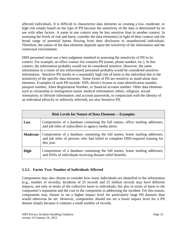affected individuals. It is difficult to characterize data elements as creating a low, moderate, or high risk simply based on the type of PII because the sensitivity of the data is determined by its use with other factors. A name in one context may be less sensitive than in another context. In assessing the levels of risk and harm, consider the data element(s) in light of their context and the broad range of potential harms flowing from their disclosure to unauthorized individuals. Therefore, the nature of the data elements depends upon the *sensitivity* of the information and the contextual environment.

DHS personnel must use a best judgment standard in assessing the sensitivity of PII in its context. For example, an office contact list contains PII (name, phone number, etc.). In this context, the information probably would not be considered sensitive. However, the same information in a roster of law enforcement personnel probably would be considered sensitive information. Sensitive PII results in a reasonably high risk of harm to the individual due to the sensitivity of the specific data elements. Some forms of PII are sensitive as stand-alone data elements. Examples of such PII include: SSN, driver's license or state identification number, passport number, Alien Registration Number, or financial account number. Other data elements such as citizenship or immigration status; medical information; ethnic, religious, sexual orientation, or lifestyle information; and account passwords, in conjunction with the identity of an individual (directly or indirectly inferred), are also Sensitive PII.

|             | <b>Risk Levels for Nature of Data Elements -- Examples</b>                                                                                                                  |  |
|-------------|-----------------------------------------------------------------------------------------------------------------------------------------------------------------------------|--|
| Low         | Compromise of a database containing the full names, office mailing addresses,<br>and job titles of subscribers to agency media alerts.                                      |  |
| Moderate    | Compromise of a database containing the full names, home mailing addresses,<br>and job titles of persons who had failed to complete DHS-required training for<br>this year. |  |
| <b>High</b> | Compromise of a database containing the full names, home mailing addresses,<br>and SSNs of individuals receiving disaster relief benefits.                                  |  |

## **5.3.2. Factor Two: Number of Individuals Affected**

Components may also choose to consider how many individuals are identified in the information (e.g., number of records). Incidents of 25 records and 25 million records may have different impacts, not only in terms of the collective harm to individuals, but also in terms of harm to the component's reputation and the cost to the component in addressing the incident. For this reason, components may choose to set a higher impact level for particularly large PII datasets than would otherwise be set. However, components should not set a lower impact level for a PII dataset simply because it contains a small number of records.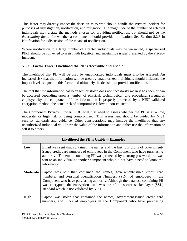This factor may directly impact the decision as to who should handle the Privacy Incident for purposes of investigation, notification, and mitigation. The magnitude of the number of affected individuals may dictate the methods chosen for providing notification, but should *not* be *the determining factor* for whether a component should provide notification. See Section 8.2.8 in Notification for a discussion of the means of notification.

Where notification to a large number of affected individuals may be warranted, a specialized PIRT should be convened to assist with logistical and substantive issues presented by the Privacy Incident.

# **5.3.3. Factor Three: Likelihood the PII is Accessible and Usable**

The likelihood that PII will be used by unauthorized individuals must also be assessed. An increased risk that the information will be used by unauthorized individuals should influence the impact level assigned to this factor and ultimately the decision to provide notification.

The fact that the information has been lost or stolen does not necessarily mean it has been or can be accessed depending upon a number of physical, technological, and procedural safeguards employed by the component. If the information is properly protected by a NIST-validated encryption method, the actual risk of compromise is low to non-existent.

The Component Privacy Officer/PPOC will first need to assess whether the PII is at a low, moderate, or high risk of being compromised. This assessment should be guided by NIST security standards and guidance. Other considerations may include the likelihood that any unauthorized individual will know the value of the information and either use the information or sell it to others.

| Likelihood the PII is Usable -- Examples |                                                                                                                                                                                                                                                                                                                                                               |
|------------------------------------------|---------------------------------------------------------------------------------------------------------------------------------------------------------------------------------------------------------------------------------------------------------------------------------------------------------------------------------------------------------------|
| Low                                      | Email was sent that contained the names and the last four digits of government-<br>issued credit card numbers of employees in the Component who have purchasing<br>authority. The email containing PII was protected by a strong password, but was<br>sent to an individual at another component who did not have a need to know the<br>information.          |
| <b>Moderate</b>                          | Laptop was lost that contained the names, government-issued credit card<br>numbers, and Personal Identification Numbers (PIN) of employees in the<br>Component who have purchasing authority. Although the database containing PII<br>was encrypted, the encryption used was the 40-bit secure socket layer (SSL)<br>standard which is not validated by NIST. |
| <b>High</b>                              | Laptop was stolen that contained the names, government-issued credit card<br>numbers, and PINs of employees in the Component who have purchasing                                                                                                                                                                                                              |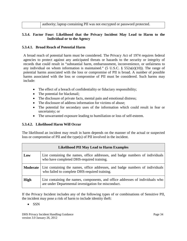| authority; laptop containing PII was not encrypted or password protected. |
|---------------------------------------------------------------------------|

#### **5.3.4. Factor Four: Likelihood that the Privacy Incident May Lead to Harm to the Individual or to the Agency**

#### **5.3.4.1. Broad Reach of Potential Harm**

A broad reach of potential harm must be considered. The Privacy Act of 1974 requires federal agencies to protect against any anticipated threats or hazards to the security or integrity of records that could result in "substantial harm, embarrassment, inconvenience, or unfairness to any individual on whom information is maintained." (5 U.S.C.  $\S$  552a(e)(10)). The range of potential harms associated with the loss or compromise of PII is broad. A number of possible harms associated with the loss or compromise of PII must be considered. Such harms may include:

- The effect of a breach of confidentiality or fiduciary responsibility;
- The potential for blackmail;
- The disclosure of private facts, mental pain and emotional distress;
- The disclosure of address information for victims of abuse;
- The potential for secondary uses of the information which could result in fear or uncertainty; or
- The unwarranted exposure leading to humiliation or loss of self-esteem.

## **5.3.4.2. Likelihood Harm Will Occur**

The likelihood an incident may result in harm depends on the manner of the actual or suspected loss or compromise of PII and the type(s) of PII involved in the incident.

|             | <b>Likelihood PII May Lead to Harm Examples</b>                                                                                        |  |
|-------------|----------------------------------------------------------------------------------------------------------------------------------------|--|
| Low         | List containing the names, office addresses, and badge numbers of individuals<br>who have completed DHS-required training.             |  |
| Moderate    | List containing the names, office addresses, and badge numbers of individuals<br>who failed to complete DHS-required training.         |  |
| <b>High</b> | List containing the names, components, and office addresses of individuals who<br>are under Departmental investigation for misconduct. |  |

If the Privacy Incident includes any of the following types of or combinations of Sensitive PII, the incident may pose a risk of harm to include identity theft:

• SSN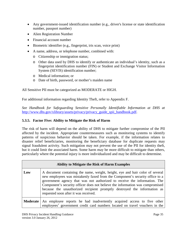- Any government-issued identification number (e.g., driver's license or state identification number, passport number)
- Alien Registration Number
- Financial account number
- Biometric identifier (e.g., fingerprint, iris scan, voice print)
- A name, address, or telephone number, combined with:
	- o Citizenship or immigration status;
	- o Other data used by DHS to identify or authenticate an individual's identity, such as a fingerprint identification number (FIN) or Student and Exchange Visitor Information System (SEVIS) identification number;
	- o Medical information; or
	- o Date of birth, password, or mother's maiden name

All Sensitive PII must be categorized as MODERATE or HIGH.

For additional information regarding Identity Theft, refer to Appendix F.

*See Handbook for Safeguarding Sensitive Personally Identifiable Information at DHS at* [http://www.dhs.gov/xlibrary/assets/privacy/privacy\\_guide\\_spii\\_handbook.pdf.](http://www.dhs.gov/xlibrary/assets/privacy/privacy_guide_spii_handbook.pdf)

## **5.3.5. Factor Five: Ability to Mitigate the Risk of Harm**

The risk of harm will depend on the ability of DHS to mitigate further compromise of the PII affected by the incident. Appropriate countermeasures such as monitoring systems to identify patterns of suspicious behavior should be taken. For example, if the information relates to disaster relief beneficiaries, monitoring the beneficiary database for duplicate requests may signal fraudulent activity. Such mitigation may not prevent the use of the PII for identity theft, but it could limit the associated harm. Some harm may be more difficult to mitigate than others, particularly where the potential injury is more individualized and may be difficult to determine.

|          | <b>Ability to Mitigate the Risk of Harm Examples</b>                                                                                                                                                                                                                                                                                                                                                                                             |
|----------|--------------------------------------------------------------------------------------------------------------------------------------------------------------------------------------------------------------------------------------------------------------------------------------------------------------------------------------------------------------------------------------------------------------------------------------------------|
| Low      | A document containing the name, weight, height, eye and hair color of several<br>new employees was mistakenly faxed from the Component's security office to a<br>government agency that was not authorized to receive the information. The<br>Component's security officer does not believe the information was compromised<br>because the unauthorized recipient promptly destroyed the information as<br>requested soon after it was received. |
| Moderate | An employee reports he had inadvertently acquired access to five other<br>employees' government credit card numbers located on travel vouchers in the                                                                                                                                                                                                                                                                                            |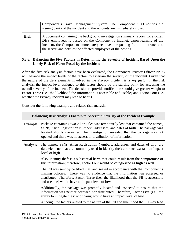|             | Component's Travel Management System. The Component CFO notifies the<br>issuing banks of the incident and the accounts are immediately closed.                                                                                                                                                                  |
|-------------|-----------------------------------------------------------------------------------------------------------------------------------------------------------------------------------------------------------------------------------------------------------------------------------------------------------------|
| <b>High</b> | A document containing the background investigation summary reports for a dozen<br>DHS employees is posted on the Component's intranet. Upon learning of the<br>incident, the Component immediately removes the posting from the intranet and<br>the server, and notifies the affected employees of the posting. |

#### **5.3.6. Balancing the Five Factors in Determining the Severity of Incident Based Upon the Likely Risk of Harm Posed by the Incident**

After the five risk analysis factors have been evaluated, the Component Privacy Officer/PPOC will balance the impact levels of the factors to ascertain the severity of the incident. Given that the nature of the data elements involved in the Privacy Incident is a *key factor* in the risk analysis, the impact level assigned to this factor should be the starting point for assessing the overall severity of the incident. The decision to provide notification should give greater weight to Factor Three (i.e., the likelihood the information is accessible and usable) and Factor Four (i.e., whether the Privacy Incident may lead to harm).

Consider the following example and related risk analysis:

|                 | <b>Balancing Risk Analysis Factors to Ascertain Severity of the Incident Example</b>                                                                                                                                                                                                                                       |  |
|-----------------|----------------------------------------------------------------------------------------------------------------------------------------------------------------------------------------------------------------------------------------------------------------------------------------------------------------------------|--|
| <b>Example</b>  | Package containing two Alien Files was temporarily lost that contained the names,<br>SSNs, Alien Registration Numbers, addresses, and dates of birth. The package was<br>located shortly thereafter. The investigation revealed that the package was not<br>opened and there was no access or distribution of information. |  |
| <b>Analysis</b> | The names, SSNs, Alien Registration Numbers, addresses, and dates of birth are<br>data elements that are commonly used in identity theft and thus warrant an impact<br>level of high.                                                                                                                                      |  |
|                 | Also, identity the ft is a substantial harm that could result from the compromise of<br>this information; therefore, Factor Four would be categorized as high as well.                                                                                                                                                     |  |
|                 | The PII was sent by certified mail and sealed in accordance with the Component's<br>mailing policies. There was no evidence that the information was accessed or<br>distributed. Therefore, Factor Three (i.e., the likelihood that the PII is accessible<br>and useable) would have an impact level of <b>low</b> .       |  |
|                 | Additionally, the package was promptly located and inspected to ensure that the<br>information was neither accessed nor distributed. Therefore, Factor Five (i.e., the<br>ability to mitigate the risk of harm) would have an impact level of <b>low</b> .                                                                 |  |
|                 | Although the factors related to the nature of the PII and likelihood the PII may lead                                                                                                                                                                                                                                      |  |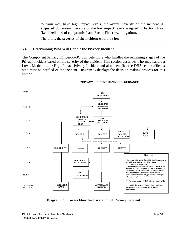to harm may have high impact levels, the overall severity of the incident is **adjusted downward** because of the low impact levels assigned to Factor Three (i.e., likelihood of compromise) and Factor Five (i.e., mitigation). Therefore, the **severity of the incident would be low**.

#### **5.4. Determining Who Will Handle the Privacy Incident**

The Component Privacy Officer/PPOC will determine who handles the remaining stages of the Privacy Incident based on the severity of the incident. This section describes who may handle a Low-, Moderate-, or High-Impact Privacy Incident and also identifies the DHS senior officials who must be notified of the incident. Diagram C displays the decision-making process for this section.



#### **PRIVACY INCIDENT HANDLING GUIDANCE:**

**Diagram C: Process Flow for Escalation of Privacy Inciden**t

DHS Privacy Incident Handling Guidance version 3.0 January 26, 2012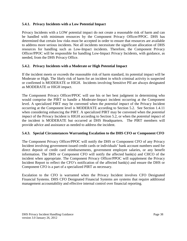#### **5.4.1. Privacy Incidents with a Low Potential Impact**

Privacy Incidents with a LOW potential impact do not create a reasonable risk of harm and can be handled with minimum resources by the Component Privacy Officer/PPOC. DHS has determined that certain low risks must be accepted in order to ensure that resources are available to address more serious incidents. Not all incidents necessitate the significant allocation of DHS resources for handling such as Low-Impact incidents. Therefore, the Component Privacy Officer/PPOC will be responsible for handling Low-Impact Privacy Incidents, with guidance, as needed, from the DHS Privacy Office.

# **5.4.2. Privacy Incidents with a Moderate or High Potential Impact**

If the incident meets or exceeds the reasonable risk of harm standard, its potential impact will be Moderate or High. The likely risk of harm for an incident in which criminal activity is suspected or confirmed is MODERATE or HIGH. Incidents involving Sensitive PII are always designated as MODERATE or HIGH impact.

The Component Privacy Officer/PPOC will use his or her best judgment in determining who would comprise the PIRT to handle a Moderate-Impact incident occurring at the Component level. A specialized PIRT may be convened when the *potential impact* of the Privacy Incident occurring at the Component level is MODERATE according to Section 5.2. See Section 1.4.11 when considering enhancing the PIRT. A specialized PIRT may be convened when the *potential impact* of the Privacy Incident is HIGH according to Section 5.2, or when the *potential impact* of the incident is MODERATE but occurred at DHS Headquarters. The PIRT members will provide advice and assistance as needed to address the incident.

#### **5.4.3. Special Circumstances Warranting Escalation to the DHS CFO or Component CFO**

The Component Privacy Officer/PPOC will notify the DHS or Component CFO of any Privacy Incident involving government-issued credit cards or individuals' bank account numbers used for direct deposit of credit card reimbursements, government employee salaries, or any benefit information. The DHS or Component CFO will notify the affected bank(s) and CHCO of the incident when appropriate. The Component Privacy Officer/PPOC will supplement the Privacy Incident Report to reflect the CFO's notification of the affected bank(s) and ensure the DHS or Component CFO is a part of a specialized PIRT as necessary.

Escalation to the CFO is warranted when the Privacy Incident involves CFO Designated Financial Systems. DHS CFO Designated Financial Systems are systems that require additional management accountability and effective internal control over financial reporting.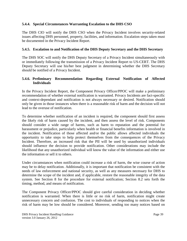#### **5.4.4. Special Circumstances Warranting Escalation to the DHS CSO**

The DHS CIO will notify the DHS CSO when the Privacy Incident involves security-related issues affecting DHS personnel, property, facilities, and information. Escalation steps taken must be documented in the Privacy Incident Report.

# **5.4.5. Escalation to and Notification of the DHS Deputy Secretary and the DHS Secretary**

The DHS SOC will notify the DHS Deputy Secretary of a Privacy Incident simultaneously with or immediately following the transmission of a Privacy Incident Report to US-CERT. The DHS Deputy Secretary will use his/her best judgment in determining whether the DHS Secretary should be notified of a Privacy Incident.

#### **5.4.6. Preliminary Recommendation Regarding External Notification of Affected Individuals**

In the Privacy Incident Report, the Component Privacy Officer/PPOC will make a preliminary recommendation of whether external notification is warranted. Privacy Incidents are fact-specific and context-dependant and notification is not always necessary or desired. Notification should only be given in those instances when there is a reasonable risk of harm and the decision will not lead to the overuse of notification.

To determine whether notification of an incident is required, the component should first assess the likely risk of harm caused by the incident, and then assess the level of risk. Components should consider a wide range of harms, such as harm to reputation and the potential for harassment or prejudice, particularly when health or financial benefits information is involved in the incident. Notification of those affected and/or the public allows affected individuals the opportunity to take steps to help protect themselves from the consequences of the Privacy Incident. Therefore, an increased risk that the PII will be used by unauthorized individuals should influence the decision to provide notification. Other considerations may include the likelihood that any unauthorized individual will know the value of the information and either use the information or sell it to others.

Under circumstances when notification could increase a risk of harm, the wise course of action may be to delay notification. Additionally, it is important that notification be consistent with the needs of law enforcement and national security, as well as any measures necessary for DHS to determine the scope of the incident and, if applicable, restore the reasonable integrity of the data system. See Section 8 for the procedure for external notification; Section 8.2 sets forth the timing, method, and means of notification.

The Component Privacy Officer/PPOC should give careful consideration in deciding whether notification is warranted. When there is little or no risk of harm, notification might create unnecessary concern and confusion. The cost to individuals of responding to notices when the risk of harm may be low should be considered. Moreover, sending too many notices based on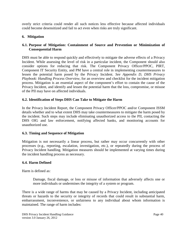overly strict criteria could render all such notices less effective because affected individuals could become desensitized and fail to act even when risks are truly significant.

#### **6. Mitigation**

#### **6.1. Purpose of Mitigation: Containment of Source and Prevention or Minimization of Consequential Harm**

DHS must be able to respond quickly and effectively to mitigate the adverse effects of a Privacy Incident. While assessing the level of risk in a particular incident, the Component should also consider options for reducing that risk. The Component Privacy Officer/PPOC, PIRT, Component IT Security Entity, and PM have a central role in implementing countermeasures to lessen the potential harm posed by the Privacy Incident. *See Appendix D, DHS Privacy Playbook: Handling Process Overview,* for an overview and checklist for the incident mitigation process. Mitigation is an essential aspect of the component's effort to contain the cause of the Privacy Incident, and identify and lessen the potential harm that the loss, compromise, or misuse of the PII may have on affected individuals.

#### **6.2. Identification of Steps DHS Can Take to Mitigate the Harm**

In the Privacy Incident Report, the Component Privacy Officer/PPOC and/or Component ISSM details whether and to what extent DHS may take countermeasures to mitigate the harm posed by the incident. Such steps may include eliminating unauthorized access to the PII, contacting the DHS OIG and law enforcement, notifying affected banks, and monitoring accounts for unauthorized use.

#### **6.3. Timing and Sequence of Mitigation**

Mitigation is not necessarily a linear process, but rather may occur concurrently with other processes (e.g., reporting, escalation, investigation, etc.), or repeatedly during the process of Privacy Incident handling. Mitigation measures should be implemented at varying times during the incident handling process as necessary.

#### **6.4. Harm Defined**

Harm is defined as:

Damage, fiscal damage, or loss or misuse of information that adversely affects one or more individuals or undermines the integrity of a system or program.

There is a wide range of harms that may be caused by a Privacy Incident, including anticipated threats or hazards to the security or integrity of records that could result in substantial harm, embarrassment, inconvenience, or unfairness to any individual about whom information is maintained. The range of harm includes: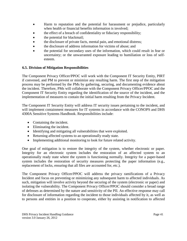- Harm to reputation and the potential for harassment or prejudice, particularly when health or financial benefits information is involved;
- the effect of a breach of confidentiality or fiduciary responsibility;
- the potential for blackmail;
- the disclosure of private facts, mental pain, and emotional distress;
- the disclosure of address information for victims of abuse; and
- the potential for secondary uses of the information, which could result in fear or uncertainty; or the unwarranted exposure leading to humiliation or loss of selfesteem.

# **6.5. Division of Mitigation Responsibilities**

The Component Privacy Officer/PPOC will work with the Component IT Security Entity, PIRT if convened, and PM to prevent or minimize any resulting harm. The first step of the mitigation process may be performed by the PMs by gathering, securing, and documenting evidence about the incident. Therefore, PMs will collaborate with the Component Privacy Officer/PPOC and the Component IT Security Entity regarding the identification of the source of the incident, and the implementation of measures to contain the initial harm resulting from the Privacy Incident.

The Component IT Security Entity will address IT security issues pertaining to the incident, and will implement containment measures for IT systems in accordance with the CONOPS and DHS 4300A Sensitive Systems Handbook. Responsibilities include:

- Containing the incident.
- Eliminating the incident.
- Identifying and mitigating all vulnerabilities that were exploited.
- Returning affected systems to an operationally ready state.
- Implementing additional monitoring to look for future related activity.

One goal of mitigation is to restore the integrity of the system, whether electronic or paper. Integrity for an electronic system includes the restoration of an affected system to an operationally ready state where the system is functioning normally. Integrity for a paper-based system includes the restoration of security measures protecting the paper information (e.g., replacement of locks, ensuring that all files are accounted for, etc.).

The Component Privacy Officer/PPOC will address the privacy ramifications of a Privacy Incident and focus on preventing or minimizing any subsequent harm to affected individuals. As such, mitigation will involve activity beyond the securing of the system (electronic or paper) and isolating the vulnerability. The Component Privacy Officer/PPOC should consider a broad range of defenses as determined by the nature and sensitivity of the PII. An effective response may call for disclosure of information regarding the incident to those individuals affected by it, as well as to persons and entities in a position to cooperate, either by assisting in notification to affected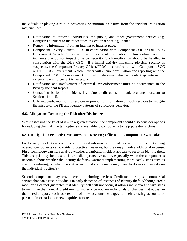individuals or playing a role in preventing or minimizing harms from the incident. Mitigation may include:

- Notification to affected individuals, the public, and other government entities (e.g. Congress) pursuant to the procedures in Section 8 of this guidance.
- Removing information from an Internet or intranet page.
- Component Privacy Officer/PPOC in coordination with Component SOC or DHS SOC Government Watch Officer will ensure external notification to law enforcement for incidents that do not impact physical security. Such notification should be handled in consultation with the DHS CPO. If criminal activity impacting physical security is suspected, the Component Privacy Officer/PPOC in coordination with Component SOC or DHS SOC Government Watch Officer will ensure consultation and reporting with the Component CSO. Component CSO will determine whether contacting internal or external law enforcement is necessary.
- Notification and involvement of external law enforcement must be documented in the Privacy Incident Report.
- Contacting banks for incidents involving credit cards or bank accounts pursuant to Sections 4 and 5.
- Offering credit monitoring services or providing information on such services to mitigate the misuse of the PII and identify patterns of suspicious behavior.

#### **6.6. Mitigation: Reducing the Risk after Disclosure**

While assessing the level of risk in a given situation, the component should also consider options for reducing that risk. Certain options are available to components to help potential victims:

#### **6.6.1. Mitigation: Protective Measures that DHS HQ Offices and Components Can Take**

For Privacy Incidents where the compromised information presents a risk of new accounts being opened, components can consider protective measures, but they may involve additional expense. First, technology can help analyze whether a particular incident appears to result in identity theft. This analysis may be a useful intermediate protective action, especially when the component is uncertain about whether the identity theft risk warrants implementing more costly steps such as credit monitoring, or when the risk is such that components may want to do more than rely on the individual's action(s).

Second, components may provide credit monitoring services. Credit monitoring is a commercial service that can assist individuals in early detection of instances of identity theft. Although credit monitoring cannot guarantee that identity theft will not occur, it allows individuals to take steps to minimize the harm. A credit monitoring service notifies individuals of changes that appear in their credit report, such as creation of new accounts, changes to their existing accounts or personal information, or new inquiries for credit.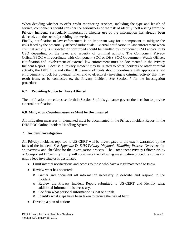When deciding whether to offer credit monitoring services, including the type and length of service, components should consider the seriousness of the risk of identity theft arising from the Privacy Incident. Particularly important is whether use of the information has already been detected, and the cost of providing the service.

Finally, notification to law enforcement is an important way for a component to mitigate the risks faced by the potentially affected individuals. External notification to law enforcement when criminal activity is suspected or confirmed should be handled by Component CSO and/or DHS CSO depending on the level and severity of criminal activity. The Component Privacy Officer/PPOC will coordinate with Component SOC or DHS SOC Government Watch Officer. Notification and involvement of external law enforcement must be documented in the Privacy Incident Report. Because a Privacy Incident may be related to other incidents or other criminal activity, the DHS OIG and other DHS senior officials should coordinate with appropriate law enforcement to look for potential links, and to effectively investigate criminal activity that may result from, or be connected to, the Privacy Incident. See Section 7 for the investigation procedure.

# **6.7. Providing Notice to Those Affected**

The notification procedures set forth in Section 8 of this guidance govern the decision to provide external notification.

#### **6.8. Mitigation Countermeasures Must be Documented**

All mitigation measures implemented must be documented in the Privacy Incident Report in the DHS EOC Online Incident Handling System.

# **7. Incident Investigation**

All Privacy Incidents reported to US-CERT will be investigated to the extent warranted by the facts of the incident. *See Appendix D, DHS Privacy Playbook: Handling Process Overview,* for an overview and checklist for the investigation process. The Component Privacy Officer/PPOC or Component IT Security Entity will coordinate the following investigation procedures unless or until a lead investigator is designated:

- Limit internal notifications and access to those who have a legitimate need to know.
- Review what has occurred:
	- o Gather and document all information necessary to describe and respond to the incident.
	- o Review the Privacy Incident Report submitted to US-CERT and identify what additional information is necessary.
	- o Confirm what personal information is lost or at risk.
	- o Identify what steps have been taken to reduce the risk of harm.
- Develop a plan of action: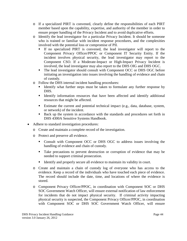- o If a specialized PIRT is convened, clearly define the responsibilities of each PIRT member based upon the capability, expertise, and authority of the member in order to ensure proper handling of the Privacy Incident and to avoid duplicative efforts.
- o Identify the lead investigator for a particular Privacy Incident. It should be someone who is trained or familiar with incident response procedures, and the complexities involved with the potential loss or compromise of PII.
	- If no specialized PIRT is convened, the lead investigator will report to the Component Privacy Officer/PPOC or Component IT Security Entity. If the incident involves physical security, the lead investigator may report to the Component CSO. If a Moderate-Impact or High-Impact Privacy Incident is involved, the lead investigator may also report to the DHS OIG and DHS OGC.
	- The lead investigator should consult with Component OCC or DHS OGC before initiating an investigation into issues involving the handling of evidence and chain of custody.
- o Follow the DHS internal incident handling procedures:
	- Identify what further steps must be taken to formulate any further response by DHS.
	- **IDENTIFY Information resources that have been affected and identify additional** resources that might be affected.
	- Estimate the current and potential technical impact (e.g., data, database, system, or network) of the incident.
	- Back up the system in accordance with the standards and procedures set forth in DHS 4300A Sensitive Systems Handbook.
- Adhere to standard investigation procedures:
	- o Create and maintain a complete record of the investigation.
	- o Protect and preserve all evidence.
		- Consult with Component OCC or DHS OGC to address issues involving the handling of evidence and chain of custody.
		- Take precautions to prevent destruction or corruption of evidence that may be needed to support criminal prosecution.
		- Identify and properly secure all evidence to maintain its validity in court.
	- o Create and maintain a chain of custody log of everyone who has access to the evidence. Keep a record of the individuals who have touched each piece of evidence. The record should include the date, time, and locations of where the evidence is stored.
	- o Component Privacy Officer/PPOC, in coordination with Component SOC or DHS SOC Government Watch Officer, will ensure external notification of law enforcement for incidents that do not impact physical security. If criminal activity impacting physical security is suspected, the Component Privacy Officer/PPOC, in coordination with Component SOC or DHS SOC Government Watch Officer, will ensure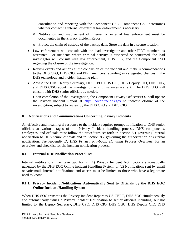consultation and reporting with the Component CSO. Component CSO determines whether contacting internal or external law enforcement is necessary.

- o Notification and involvement of internal or external law enforcement must be documented in the Privacy Incident Report.
- o Protect the chain of custody of the backup data. Store the data in a secure location.
- Law enforcement will consult with the lead investigator and other PIRT members as warranted. For incidents where criminal activity is suspected or confirmed, the lead investigator will consult with law enforcement, DHS OIG, and the Component CSO regarding the closure of the investigation.
- Review events and actions at the conclusion of the incident and make recommendations to the DHS CPO, DHS CIO, and PIRT members regarding any suggested changes in the DHS technology and incident handling plan.
- Advise the DHS Deputy Secretary, DHS CPO, DHS CIO, DHS Deputy CIO, DHS OIG, and DHS CISO about the investigation as circumstances warrant. The DHS CPO will consult with DHS senior officials as needed.

Upon completion of the investigation, the Component Privacy Officer/PPOC will update the Privacy Incident Report at [https://eoconline.dhs.gov](https://eoconline.dhs.gov/) to indicate closure of the investigation, subject to review by the DHS CPO and DHS CIO.

# **8. Notifications and Communications Concerning Privacy Incidents**

An effective and meaningful response to the incident requires prompt notification to DHS senior officials at various stages of the Privacy Incident handling process. DHS components, employees, and officials must follow the procedures set forth in Section 8.1 governing internal notification to DHS senior officials and in Section 8.2 governing the authorization of external notification. *See Appendix D, DHS Privacy Playbook: Handling Process Overview,* for an overview and checklist for the incident notification process.

#### **8.1. Internal DHS Notification Procedures**

Internal notifications may take two forms: (1) Privacy Incident Notifications automatically generated by the DHS EOC Online Incident Handling System; or (2) Notifications sent by email or voicemail. Internal notifications and access must be limited to those who have a legitimate need to know.

# **8.1.1. Privacy Incident Notifications Automatically Sent to Officials by the DHS EOC Online Incident Handling System**

When DHS SOC transmits the Privacy Incident Report to US-CERT, DHS SOC simultaneously and automatically issues a Privacy Incident Notification to senior officials including, but not limited to, the Deputy Secretary, DHS CPO, DHS CIO, DHS OGC, DHS Deputy CIO, DHS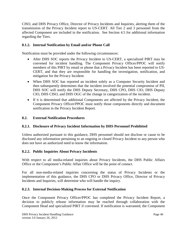CISO, and DHS Privacy Office, Director of Privacy Incidents and Inquiries, alerting them of the transmission of the Privacy Incident report to US-CERT. All Tier 2 and 3 personnel from the affected Component are included in the notification. See Section 4.5 for additional information regarding the Tiers.

# **8.1.2. Internal Notification by Email and/or Phone Call**

Notification must be provided under the following circumstances:

- After DHS SOC reports the Privacy Incident to US-CERT, a specialized PIRT may be convened for incident handling. The Component Privacy Officer/PPOC will notify members of this PIRT by email or phone that a Privacy Incident has been reported to US-CERT, and that they are responsible for handling the investigation, notification, and mitigation for the Privacy Incident.
- When DHS SOC has reported an incident solely as a Computer Security Incident and then subsequently determines that the incident involved the potential compromise of PII, DHS SOC will notify the DHS Deputy Secretary, DHS CPO, DHS CIO, DHS Deputy CIO, DHS CISO, and DHS OGC of the change in categorization of the incident.
- If it is determined that additional Components are affected by the Privacy Incident, the Component Privacy Officer/PPOC must notify those components directly and document notification in the Privacy Incident Report.

#### **8.2. External Notification Procedures**

#### **8.2.1. Disclosure of Privacy Incident Information by DHS Personnel Prohibited**

Unless authorized pursuant to this guidance, DHS personnel should not disclose or cause to be disclosed any information pertaining to an ongoing or closed Privacy Incident to any person who does not have an authorized need to know the information.

#### **8.2.2. Public Inquiries About Privacy Incidents**

With respect to all media-related inquiries about Privacy Incidents, the DHS Public Affairs Office or the Component's Public Affair Office will be the point of contact.

For all non-media-related inquiries concerning the status of Privacy Incidents or the implementation of this guidance, the DHS CPO or DHS Privacy Office, Director of Privacy Incidents and Inquiries, will determine who will handle the inquiry.

#### **8.2.3. Internal Decision-Making Process for External Notification**

Once the Component Privacy Officer/PPOC has completed the Privacy Incident Report, a decision to publicly release information may be reached through collaboration with the Component Head and specialized PIRT if convened. If notification is warranted, the Component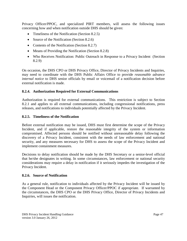Privacy Officer/PPOC, and specialized PIRT members, will assess the following issues concerning how and when notification outside DHS should be given:

- Timeliness of the Notification (Section 8.2.5)
- Source of the Notification (Section 8.2.6)
- Contents of the Notification (Section 8.2.7)
- Means of Providing the Notification (Section 8.2.8)
- Who Receives Notification: Public Outreach in Response to a Privacy Incident (Section 8.2.9)

On occasion, the DHS CPO or DHS Privacy Office, Director of Privacy Incidents and Inquiries, may need to coordinate with the DHS Public Affairs Office to provide *reasonable advance internal notice* to DHS senior officials by email or voicemail of a notification decision before external notification is made.

#### **8.2.4. Authorization Required for External Communications**

Authorization is required for external communications. This restriction is subject to Section 8.2.1 and applies to all external communications, including congressional notifications, press releases, and notifications to individuals potentially affected by the Privacy Incident.

#### **8.2.5. Timeliness of the Notification**

Before external notification may be issued, DHS must first determine the scope of the Privacy Incident, and if applicable, restore the reasonable integrity of the system or information compromised. Affected persons should be notified without unreasonable delay following the discovery of a Privacy Incident, consistent with the needs of law enforcement and national security, and any measures necessary for DHS to assess the scope of the Privacy Incident and implement containment measures.

Decisions to delay notification should be made by the DHS Secretary or a senior-level official that he/she designates in writing. In some circumstances, law enforcement or national security considerations may require a delay in notification if it seriously impedes the investigation of the Privacy Incident.

#### **8.2.6. Source of Notification**

As a general rule, notification to individuals affected by the Privacy Incident will be issued by the Component Head or the Component Privacy Officer/PPOC if appropriate. If warranted by the circumstances, the DHS CPO or the DHS Privacy Office, Director of Privacy Incidents and Inquiries, will issues the notification.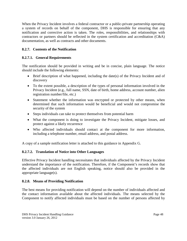When the Privacy Incident involves a federal contractor or a public-private partnership operating a system of records on behalf of the component, DHS is responsible for ensuring that any notification and corrective action is taken. The roles, responsibilities, and relationships with contractors or partners should be reflected in the system certification and accreditation (C&A) documentation, as well as contracts and other documents.

# **8.2.7. Contents of the Notification**

#### **8.2.7.1. General Requirements**

The notification should be provided in writing and be in concise, plain language. The notice should include the following elements:

- Brief description of what happened, including the date(s) of the Privacy Incident and of discovery
- To the extent possible, a description of the types of personal information involved in the Privacy Incident (e.g., full name, SSN, date of birth, home address, account number, alien registration number/file, etc.)
- Statement whether the information was encrypted or protected by other means, when determined that such information would be beneficial and would not compromise the security of the system
- Steps individuals can take to protect themselves from potential harm
- What the component is doing to investigate the Privacy Incident, mitigate losses, and protect against a likely recurrence
- Who affected individuals should contact at the component for more information, including a telephone number, email address, and postal address.

A copy of a sample notification letter is attached to this guidance in Appendix G.

# **8.2.7.2. Translation of Notice into Other Languages**

Effective Privacy Incident handling necessitates that individuals affected by the Privacy Incident understand the importance of the notification. Therefore, if the Component's records show that the affected individuals are not English speaking, notice should also be provided in the appropriate language(s).

#### **8.2.8. Means of Providing Notification**

The best means for providing notification will depend on the number of individuals affected and the contact information available about the affected individuals. The means selected by the Component to notify affected individuals must be based on the number of persons affected by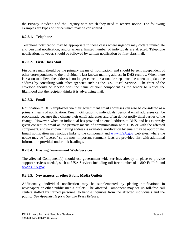the Privacy Incident, and the urgency with which they need to receive notice. The following examples are types of notice which may be considered.

# **8.2.8.1. Telephone**

Telephone notification may be appropriate in those cases where urgency may dictate immediate and personal notification, and/or when a limited number of individuals are affected. Telephone notification, however, should be followed by written notification by first-class mail.

# **8.2.8.2. First-Class Mail**

First-class mail should be the primary means of notification, and should be sent independent of other correspondence to the individual's last known mailing address in DHS records. When there is reason to believe the address is no longer current, reasonable steps must be taken to update the address by consulting with other agencies such as the U.S. Postal Service. The front of the envelope should be labeled with the name of your component as the sender to reduce the likelihood that the recipient thinks it is advertising mail.

# **8.2.8.3. Email**

Notification to DHS employees via their government email addresses can also be considered as a primary means of notification. Email notification to individuals' personal email addresses can be problematic because they change their email addresses and often do not notify third parties of the change. However, when an individual has provided an email address to DHS, and has expressly given consent to email as the primary means of communication with DHS or with the affected component, and no known mailing address is available, notification by email may be appropriate. Email notification may include links to the component and [www.USA.gov](http://www.usa.gov/) web sites, where the notice may be "layered" so the most important summary facts are provided first with additional information provided under link headings.

# **8.2.8.4. Existing Government Wide Services**

The affected Component(s) should use government-wide services already in place to provide support services needed, such as USA Services including toll free number of 1-800-FedInfo and [www.USA.gov.](http://www.usa.gov/)

# **8.2.8.5. Newspapers or other Public Media Outlets**

Additionally, individual notification may be supplemented by placing notifications in newspapers or other public media outlets. The affected Component may set up toll-free call centers staffed by trained personnel to handle inquiries from the affected individuals and the public. *See Appendix H for a Sample Press Release.*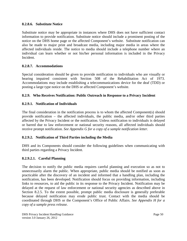#### **8.2.8.6. Substitute Notice**

Substitute notice may be appropriate in instances where DHS does not have sufficient contact information to provide notification. Substitute notice should include a prominent posting of the notice on the DHS home page or the affected Component's website. Substitute notification can also be made to major print and broadcast media, including major media in areas where the affected individuals reside. The notice to media should include a telephone number where an individual can learn whether or not his/her personal information is included in the Privacy Incident.

#### **8.2.8.7. Accommodations**

Special consideration should be given to provide notification to individuals who are visually or hearing impaired consistent with Section 508 of the Rehabilitation Act of 1973. Accommodations may include establishing a telecommunications device for the deaf (TDD) or posting a large type notice on the DHS or affected Component's website.

#### **8.2.9. Who Receives Notification: Public Outreach in Response to a Privacy Incident**

#### **8.2.9.1. Notification of Individuals**

The final consideration in the notification process is to whom the affected Component(s) should provide notification – the affected individuals, the public media, and/or other third parties affected by the Privacy Incident or the notification. Unless notification to individuals is delayed or barred due to law enforcement or national security reasons, all affected individuals should receive prompt notification. *See Appendix G for a copy of a sample notification letter.*

#### **8.2.9.2. Notification of Third Parties including the Media**

DHS and its Components should consider the following guidelines when communicating with third parties regarding a Privacy Incident.

#### **8.2.9.2.1. Careful Planning**

The decision to notify the public media requires careful planning and execution so as not to unnecessarily alarm the public. When appropriate, public media should be notified as soon as practicable after the discovery of an incident and informed that a handling plan, including the notification, has been developed. Notification should focus on providing information, including links to resources, to aid the public in its response to the Privacy Incident. Notification may be delayed at the request of law enforcement or national security agencies as described above in Section 8.2.5. To the extent possible, prompt public media disclosure is generally preferable because delayed notification may erode public trust. Contact with the media should be coordinated through DHS or the Component's Office of Public Affairs. *See Appendix H for a copy of a sample press release.*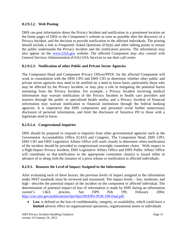# **8.2.9.2.2. Web Posting**

DHS can post information about the Privacy Incident and notification in a prominent location on the home pages of DHS or the Component's website as soon as possible after the discovery of a Privacy Incident, and the decision to provide notification to the affected individuals. The posting should include a link to Frequently Asked Questions (FAQs) and other talking points to ensure the public understands the Privacy Incident and the notification process. The information may also appear on the [www.USA.gov](http://www.usa.gov/) website. The affected Component may also consult with General Services Administration (GSA) USA Services to use their call center.

# **8.2.9.2.3. Notification of other Public and Private Sector Agencies**

The Component Head and Component Privacy Officer/PPOC for the affected Component will work in consultation with the DHS CPO and DHS CIO to determine whether other public and private sector agencies may need to be notified on a need to know basis, particularly those who may be affected by the Privacy Incident, or may play a role in mitigating the potential harms stemming from the Privacy Incident. For example, a Privacy Incident involving medical information may warrant notification of the Privacy Incident to health care providers and insurers through the public or specialized health media; and a Privacy Incident of financial information may warrant notification to financial institutions through the federal banking agencies. It is imperative that DHS components and personnel avoid further unnecessary disclosure of personal information, and limit the disclosure of Sensitive PII to those with a legitimate need to know.

# **8.2.9.2.4. Congressional Inquiries**

DHS should be prepared to respond to inquiries from other governmental agencies such as the Government Accountability Office (GAO) and Congress. The Component Head, DHS CPO, DHS CIO and DHS Legislative Affairs Office will work closely to determine when notification of the incident should be provided to congressional oversight committee chairs. With respect to a High-Impact Privacy Incident, DHS Legislative Affairs Office and DHS Public Affairs Office will coordinate so that notification to the appropriate committee chair(s) is issued either in advance of or along with the issuance of a press release or notification to affected individuals.

#### **8.2.9.3. Reassess the Level of Impact Assigned to the Information**

After evaluating each of these factors, the previous levels of impact assigned to the information under NIST standards must be reviewed and reassessed. The impact levels – low, moderate, and high - describe the potential impact of the incident on the component or affected individual. The determination of potential impact of loss of information is made by DHS during an information system's C&A process. See FIPS Pub 199, February 2004; [http://csrc.nist.gov/publications/fips/fips199/FIPS-PUB-199-final.pdf.](http://csrc.nist.gov/publications/fips/fips199/FIPS-PUB-199-final.pdf)

• **Low** is defined as the loss of confidentiality, integrity, or availability, which could have a **limited** adverse effect on organizational operations, organizational assets or individuals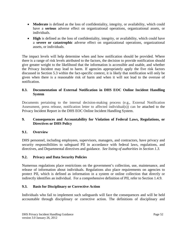- **Moderate** is defined as the loss of confidentiality, integrity, or availability, which could have a **serious** adverse effect on organizational operations, organizational assets, or individuals.
- **High** is defined as the loss of confidentiality, integrity, or availability, which could have a **severe or catastrophic** adverse effect on organizational operations, organizational assets, or individuals.

The impact levels will help determine when and how notification should be provided. Where there is a range of risk levels attributed to the factors, the decision to provide notification should give greater weight to the likelihood that the information is accessible and usable, and whether the Privacy Incident may lead to harm. If agencies appropriately apply the five risk factors discussed in Section 5.3 within the fact-specific context, it is likely that notification will only be given when there is a reasonable risk of harm and when it will not lead to the overuse of notification.

#### **8.3. Documentation of External Notification in DHS EOC Online Incident Handling System**

Documents pertaining to the internal decision-making process (e.g., External Notification Assessment, press release, notification letter to affected individual(s)) can be attached to the Privacy Incident Report in the DHS EOC Online Incident Handling System.

#### **9. Consequences and Accountability for Violation of Federal Laws, Regulations, or Directives or DHS Policy**

#### **9.1. Overview**

DHS personnel, including employees, supervisors, managers, and contractors, have privacy and security responsibilities to safeguard PII in accordance with federal laws, regulations, and directives, and Departmental directives and guidance. *See listing of authorities in Section 1.3.*

# **9.2. Privacy and Data Security Policies**

Numerous regulations place restrictions on the government's collection, use, maintenance, and release of information about individuals. Regulations also place requirements on agencies to protect PII, which is defined as information in a system or online collection that directly or indirectly identifies an individual. For a comprehensive definition of PII, refer to Section 1.4.9.

# **9.3. Basis for Disciplinary or Corrective Action**

Individuals who fail to implement such safeguards will face the consequences and will be held accountable through disciplinary or corrective action. The definitions of disciplinary and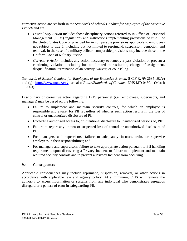corrective action are set forth in the *Standards of Ethical Conduct for Employees of the Executive Branch* and are:

- *Disciplinary Action* includes those disciplinary actions referred to in Office of Personnel Management (OPM) regulations and instructions implementing provisions of title 5 of the United States Code or provided for in comparable provisions applicable to employees not subject to title 5, including but not limited to reprimand, suspension, demotion, and removal. In the case of a military officer, comparable provisions may include those in the Uniform Code of Military Justice.
- *Corrective Action* includes any action necessary to remedy a past violation or prevent a continuing violation, including but not limited to restitution, change of assignment, disqualification, termination of an activity, waiver, or counseling.

*Standards of Ethical Conduct for Employees of the Executive Branch*, 5 C.F.R. §§ 2635.102(e) and (g); **[http://www.usoge.gov](http://www.usoge.gov/)**; see also *Ethics/Standards of Conduct*, DHS MD 0480.1 (March 1, 2003).

Disciplinary or corrective action regarding DHS personnel (i.e., employees, supervisors, and managers) may be based on the following:

- Failure to implement and maintain security controls, for which an employee is responsible and aware, for PII regardless of whether such action results in the loss of control or unauthorized disclosure of PII;
- Exceeding authorized access to, or intentional disclosure to unauthorized persons of, PII;
- Failure to report any known or suspected loss of control or unauthorized disclosure of PII;
- For managers and supervisors, failure to adequately instruct, train, or supervise employees in their responsibilities; and
- For managers and supervisors, failure to take appropriate action pursuant to PII handling requirements upon discovering a Privacy Incident or failure to implement and maintain required security controls and to prevent a Privacy Incident from occurring.

#### **9.4. Consequences**

Applicable consequences may include reprimand, suspension, removal, or other actions in accordance with applicable law and agency policy. At a minimum, DHS will remove the authority to access information or systems from any individual who demonstrates egregious disregard or a pattern of error in safeguarding PII.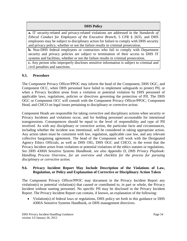# **DHS Policy**

**a.** IT security-related and privacy-related violations are addressed in the *Standards of Ethical Conduct for Employees of the Executive Branch,* 5 CFR § 2635, and DHS employees may be subject to disciplinary action for failure to comply with DHS security and privacy policy, whether or not the failure results in criminal prosecution.

**b.** Non-DHS federal employees or contractors who fail to comply with Department security and privacy policies are subject to termination of their access to DHS IT systems and facilities, whether or not the failure results in criminal prosecution.

**c.** Any person who improperly discloses sensitive information is subject to criminal and civil penalties and sanctions.

# **9.5. Procedure**

The Component Privacy Officer/PPOC may inform the head of the Component, DHS OGC, and Component OCC, when DHS personnel have failed to implement safeguards to protect PII, or when a Privacy Incident arose from a violation or potential violation by DHS personnel of applicable laws, regulations, policies or directives governing the protection of PII. The DHS OGC or Component OCC will consult with the Component Privacy Officer/PPOC, Component Head, and CHCO on legal issues pertaining to disciplinary or corrective action.

Component Heads are responsible for taking corrective and disciplinary actions when security or Privacy Incidents and violations occur, and for holding personnel accountable for intentional transgressions. Consequences should be equal to the level of responsibility and type of PII involved. As with any disciplinary or corrective action, the particular facts and circumstances, including whether the incident was intentional, will be considered in taking appropriate action. Any action taken must be consistent with law, regulation, applicable case law, and any relevant collective bargaining agreement. The head of the Component will work with the Designated Agency Ethics Officials, as well as DHS OIG, DHS OGC and CHCO, in the event that the Privacy Incident arises from violations or potential violations of the ethics statutes or regulations. *See DHS 4300A Sensitive Systems Handbook; see also Appendix D, DHS Privacy Playbook: Handling Process Overview, for an overview and checklist for the process for pursuing disciplinary or corrective action.*

#### **9.6. Privacy Incident Report May Include Description of the Violations of Law, Regulation, or Policy and Explanation of Corrective or Disciplinary Action Taken**

The Component Privacy Officer/PPOC may document in the Privacy Incident Report any violation(s) or potential violation(s) that caused or contributed to, in part or whole, the Privacy Incident without naming personnel. No specific PII may be disclosed in the Privacy Incident Report. The Privacy Incident Report can contain, if known, an explanation of the following:

• Violation(s) of federal laws or regulations, DHS policy set forth in this guidance or DHS 4300A Sensitive Systems Handbook, or DHS management directives.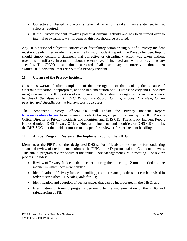- Corrective or disciplinary action(s) taken; if no action is taken, then a statement to that effect is required.
- If the Privacy Incident involves potential criminal activity and has been turned over to internal or external law enforcement, this fact should be reported.

Any DHS personnel subject to corrective or disciplinary action arising out of a Privacy Incident must not be identified or identifiable in the Privacy Incident Report. The Privacy Incident Report should simply contain a statement that corrective or disciplinary action was taken without providing identifiable information about the employee(s) involved and without providing any specifics. The CHCO must maintain a record of all disciplinary or corrective actions taken against DHS personnel that arise out of a Privacy Incident.

#### **10. Closure of the Privacy Incident**

Closure is warranted after completion of the investigation of the incident, the issuance of external notification if appropriate, and the implementation of all suitable privacy and IT security mitigation measures. If a portion of one or more of these stages is ongoing, the incident cannot be closed. *See Appendix D, DHS Privacy Playbook: Handling Process Overview, for an overview and checklist for the incident closure process.*

The Component Privacy Officer/PPOC will update the Privacy Incident Report [https://eoconline.dhs.gov](https://eoconline.dhs.gov/) to recommend incident closure, subject to review by the DHS Privacy Office, Director of Privacy Incidents and Inquiries, and DHS CIO. The Privacy Incident Report is closed unless DHS Privacy Office, Director of Incidents and Inquiries, or DHS CIO notifies the DHS SOC that the incident must remain open for review or further incident handling.

#### **11. Annual Program Review of the Implementation of the PIHG**

Members of the PIRT and other designated DHS senior officials are responsible for conducting an annual review of the implementation of the PIHG at the Departmental and Component levels. This annual program review occurs at the annual Core Management Group meeting. The review process includes:

- Review of Privacy Incidents that occurred during the preceding 12-month period and the manner in which they were handled;
- Identification of Privacy Incident handling procedures and practices that can be revised in order to strengthen DHS safeguards for PII;
- Identification and adoption of best practices that can be incorporated in the PIHG; and
- Examination of training programs pertaining to the implementation of the PIHG and safeguarding of PII.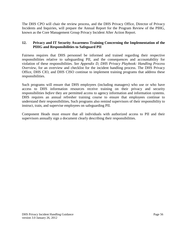The DHS CPO will chair the review process, and the DHS Privacy Office, Director of Privacy Incidents and Inquiries, will prepare the Annual Report for the Program Review of the PIHG, known as the Core Management Group Privacy Incident After Action Report.

# **12. Privacy and IT Security Awareness Training Concerning the Implementation of the PIHG and Responsibilities to Safeguard PII**

Fairness requires that DHS personnel be informed and trained regarding their respective responsibilities relative to safeguarding PII, and the consequences and accountability for violation of these responsibilities. *See Appendix D, DHS Privacy Playbook: Handling Process Overview,* for an overview and checklist for the incident handling process. The DHS Privacy Office, DHS CIO, and DHS CISO continue to implement training programs that address these responsibilities.

Such programs will ensure that DHS employees (including managers) who use or who have access to DHS information resources receive training on their privacy and security responsibilities *before* they are permitted access to agency information and information systems. DHS requires an annual refresher training course to ensure that employees continue to understand their responsibilities**.** Such programs also remind supervisors of their responsibility to instruct, train, and supervise employees on safeguarding PII.

Component Heads must ensure that all individuals with authorized access to PII and their supervisors annually sign a document clearly describing their responsibilities.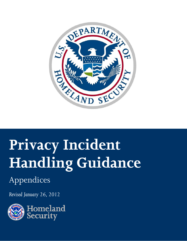

# **Privacy Incident Handling Guidance**

# Appendices

*Revised January 26, 2012*

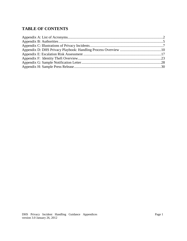# **TABLE OF CONTENTS**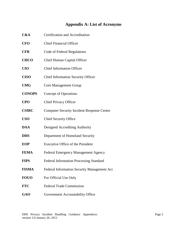# **Appendix A: List of Acronyms**

**CFO** Chief Financial Officer **CFR** Code of Federal Regulations **CHCO** Chief Human Capital Officer **CIO** Chief Information Officer **CISO** Chief Information Security Officer **CMG** Core Management Group **CONOPS** Concept of Operations **CPO** Chief Privacy Officer **CSIRC** Computer Security Incident Response Center **CSO** Chief Security Office **DAA** Designed Accrediting Authority **DHS** Department of Homeland Security **EOP** Executive Office of the President **FEMA** Federal Emergency Management Agency **FIPS** Federal Information Processing Standard **FISMA** Federal Information Security Management Act **FOUO** For Official Use Only **FTC** Federal Trade Commission GAO **Government Accountability Office** 

**C&A** Certification and Accreditation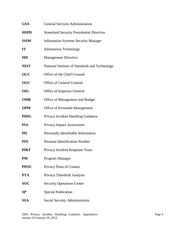| <b>GSA</b>  | <b>General Services Administration</b>         |
|-------------|------------------------------------------------|
| <b>HSPD</b> | Homeland Security Presidential Directive       |
| <b>ISSM</b> | <b>Information Systems Security Manager</b>    |
| <b>IT</b>   | <b>Information Technology</b>                  |
| <b>MD</b>   | <b>Management Directive</b>                    |
| <b>NIST</b> | National Institute of Standards and Technology |
| <b>OCC</b>  | Office of the Chief Counsel                    |
| <b>OGC</b>  | <b>Office of General Counsel</b>               |
| <b>OIG</b>  | Office of Inspector General                    |
| <b>OMB</b>  | Office of Management and Budget                |
| <b>OPM</b>  | <b>Office of Personnel Management</b>          |
| <b>PIHG</b> | Privacy Incident Handling Guidance             |
| <b>PIA</b>  | <b>Privacy Impact Assessment</b>               |
| PII         | Personally Identifiable Information            |
| <b>PIN</b>  | <b>Personal Identification Number</b>          |
| <b>PIRT</b> | Privacy Incident Response Team                 |
| PM          | Program Manager                                |
| <b>PPOC</b> | Privacy Point of Contact                       |
| <b>PTA</b>  | Privacy Threshold Analysis                     |
| <b>SOC</b>  | <b>Security Operations Center</b>              |
| SP          | <b>Special Publication</b>                     |
| <b>SSA</b>  | Social Security Administration                 |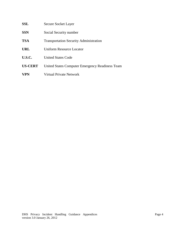| SSL            | Secure Socket Layer                             |
|----------------|-------------------------------------------------|
| <b>SSN</b>     | Social Security number                          |
| <b>TSA</b>     | <b>Transportation Security Administration</b>   |
| <b>URL</b>     | <b>Uniform Resource Locator</b>                 |
| <b>U.S.C.</b>  | United States Code                              |
| <b>US-CERT</b> | United States Computer Emergency Readiness Team |
| <b>VPN</b>     | Virtual Private Network                         |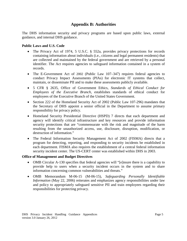# **Appendix B: Authorities**

The DHS information security and privacy programs are based upon public laws, external guidance, and internal DHS guidance.

#### **Public Laws and U.S. Code**

- The Privacy Act of 1974, 5 U.S.C. § 552a, provides privacy protections for records containing information about individuals (i.e., citizens and legal permanent residents) that are collected and maintained by the federal government and are retrieved by a personal identifier. The Act requires agencies to safeguard information contained in a system of records.
- The E-Government Act of 2002 (Public Law 107–347) requires federal agencies to conduct Privacy Impact Assessments (PIAs) for electronic IT systems that collect, maintain, or disseminate PII and to make these assessments publicly available.
- 5 CFR § 2635, Office of Government Ethics, *Standards of Ethical Conduct for Employees of the Executive Branch*, establishes standards of ethical conduct for employees of the Executive Branch of the United States Government.
- Section 222 of the Homeland Security Act of 2002 (Public Law 107-296) mandates that the Secretary of DHS appoint a senior official in the Department to assume primary responsibility for privacy policy.
- Homeland Security Presidential Directive (HSPD) 7 directs that each department and agency will identify critical infrastructure and key resources and provide information security protections that are "commensurate with the risk and magnitude of the harm resulting from the unauthorized access, use, disclosure, disruption, modification, or destruction of information."
- The Federal Information Security Management Act of 2002 (FISMA) directs that a program for detecting, reporting, and responding to security incidents be established in each department. FISMA also requires the establishment of a central federal information security incident center. The US-CERT center was established within DHS in 2003.

#### **Office of Management and Budget Directives**

- OMB Circular A-130 specifies that federal agencies will "[e]nsure there is a capability to provide help to users when a security incident occurs in the system and to share information concerning common vulnerabilities and threats."
- OMB Memorandum M-06-15 (M-06-15), *Safeguarding Personally Identifiable Information* (May 22, 2006) reiterates and emphasizes agency responsibilities under law and policy to appropriately safeguard sensitive PII and train employees regarding their responsibilities for protecting privacy.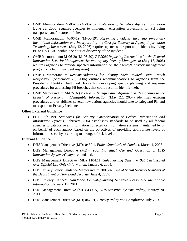- OMB Memorandum M-06-16 (M-06-16), *Protection of Sensitive Agency Information* (June 23, 2006) requires agencies to implement encryption protections for PII being transported and/or stored offsite.
- OMB Memorandum M-06-19 (M-06-19)*, Reporting Incidents Involving Personally Identifiable Information and Incorporating the Cost for Security in Agency Information Technology Investments* (July 12, 2006) requires agencies to report all incidents involving PII to US-CERT within one hour of discovery of the incident.
- OMB Memorandum M-06-20 (M-06-20), *FY 2006 Reporting Instructions for the Federal Information Security Management Act and Agency Privacy Management* (July 17, 2006) requires agencies to provide updated information on the agency's privacy management program (including incident response).
- OMB's Memorandum *Recommendations for Identity Theft Related Data Breach Notification* (September 20, 2006) outlines recommendations to agencies from the President's Identity Theft Task Force for developing agency planning and response procedures for addressing PII breaches that could result in identify theft.
- OMB Memorandum M-07-16 (M-07-16), *Safeguarding Against and Responding to the Breach of Personally Identifiable Information* (May 22, 2007) identifies existing procedures and establishes several new actions agencies should take to safeguard PII and to respond to Privacy Incidents.

#### **Other External Guidance**

• FIPS Pub 199, *Standards for Security Categorization of Federal Information and Information Systems,* February, 2004 establishes standards to be used by all federal agencies to categorize all information collected or information systems maintained by or on behalf of each agency based on the objectives of providing appropriate levels of information security according to a range of risk levels.

#### **Internal Guidance**

- DHS Management Directive (MD) 0480.1, *Ethics/Standards of Conduct*, March 1, 2003.
- DHS Management Directive (MD) 4900, *Individual Use and Operation of DHS Information Systems/Computer*, undated.
- DHS Management Directive (MD) 11042.1, *Safeguarding Sensitive But Unclassified (For Official Use Only) Information*, January 6, 2005.
- DHS Privacy Policy Guidance Memorandum 2007-02, *Use of Social Security Numbers at the Department of Homeland Security*, June 4, 2007.
- DHS Privacy Office's *Handbook for Safeguarding Sensitive Personally Identifiable Information*, January 19, 2011.
- DHS Management Directive (MD) 4300A, *DHS Sensitive Systems Policy*, January 20, 2011.
- DHS Management Directive (MD) 047-01, *Privacy Policy and Compliance*, July 7, 2011.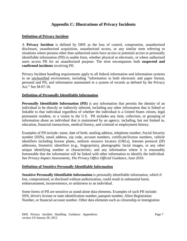# **Appendix C: Illustrations of Privacy Incidents**

#### **Definition of Privacy Incident**

A **Privacy Incident** is defined by DHS as the loss of control, compromise, unauthorized disclosure, unauthorized acquisition, unauthorized access, or any similar term referring to situations where persons other than authorized users have access or potential access to personally identifiable information (PII) in usable form, whether physical or electronic, or where authorized users access PII for an unauthorized purpose. The term encompasses both **suspected and confirmed incidents** involving PII.

Privacy Incident handling requirements apply to all federal information and information systems in an unclassified environment, including "information in both electronic and paper format, personal and PII, and information maintained in a system of records as defined by the Privacy Act." See M-07-16.

#### **Definition of Personally Identifiable Information**

**Personally Identifiable Information (PII)** is any information that permits the identity of an individual to be directly or indirectly inferred, including any other information that is linked or linkable to that individual regardless of whether the individual is a United States citizen, legal permanent resident, or a visitor to the U.S. PII includes any item, collection, or grouping of information about an individual that is maintained by an agency, including, but not limited to, education, financial transactions, medical history, and criminal or employment history.

Examples of PII include: name, date of birth, mailing address, telephone number, Social Security number (SSN), email address, zip code, account numbers, certificate/license numbers, vehicle identifiers including license plates, uniform resource locators (URLs), Internet protocol (IP) addresses, biometric identifiers (e.g., fingerprints), photographic facial images, or any other unique identifying number or characteristic; and any information where it is reasonably foreseeable that the information will be linked with other information to identify the individual. See *Privacy Impact Assessments, The Privacy Office Official Guidance*, June 2010.

#### **Definition of Sensitive Personally Identifiable Information**

**Sensitive Personally Identifiable Information** is personally identifiable information, which if lost, compromised, or disclosed without authorization, could result in substantial harm, embarrassment, inconvenience, or unfairness to an individual.

Some forms of PII are sensitive as stand-alone data elements. Examples of such PII include: SSN, driver's license or state identification number, passport number, Alien Registration Number, or financial account number. Other data elements such as citizenship or immigration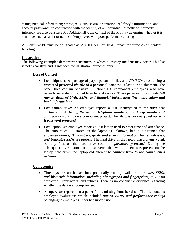status; medical information; ethnic, religious, sexual orientation, or lifestyle information; and account passwords, in conjunction with the identity of an individual (directly or indirectly inferred), are also Sensitive PII. Additionally, the context of the PII may determine whether it is sensitive, such as a list of names of employees with poor performance ratings.

All Sensitive PII must be designated as MODERATE or HIGH impact for purposes of incident handling.

#### **Illustrations**

The following examples demonstrate instances in which a Privacy Incident may occur. This list is not exhaustive and is intended for illustration purposes only.

#### **Loss of Control**

- Lost shipment: A package of paper personnel files and CD-ROMs containing a *password-protected zip file* of a personnel database is lost during shipment. The paper files contain Sensitive PII about 120 component employees who have recently separated or retired from federal service. These paper records include *full names, dates of birth, SSNs, and financial information (including salary and bank information)*.
- Lost thumb drive: An employee reports a lost unencrypted thumb drive that contained a file *listing the names, telephone numbers, and badge numbers of contractors* working on a component project. The file was *not encrypted nor was it password protected*.
- Lost laptop: An employee reports a lost laptop used to enter time and attendance. The amount of PII stored on the laptop is unknown, but it is assumed that *employee names, ID numbers, grade and salary information, home addresses, and truncated SSNs* are present. The hard drive of the laptop was *not encrypted*, but any files on the hard drive could be *password protected*. During the subsequent investigation, it is discovered that while no PII was present on the laptop hard-drive, the laptop did attempt to *connect back to the component's network*.

#### **Compromise**

- Three systems are hacked into, potentially making available the *names, SSNs, and biometric information, including photographs and fingerprints*, of 26,000 employees, contractors, and retirees. There is no conclusive evidence regarding whether the data was compromised.
- A supervisor reports that a paper file is missing from her desk. The file contains employee evaluations which included *names, SSNs, and performance ratings* belonging to employees under her supervision.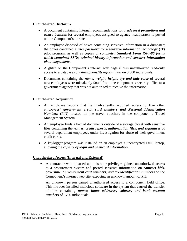#### **Unauthorized Disclosure**

- A document containing internal recommendations for *grade level promotions and award bonuses* for several employees assigned to agency headquarters is posted on the Component's intranet.
- An employee disposed of boxes containing sensitive information in a dumpster; the boxes contained a *user password* for a sensitive information technology (IT) pilot program, as well as copies of *completed Standard Form (SF)-86 forms which contained SSNs, criminal history information and sensitive information about dependents*.
- A glitch on the Component's internet web page allows unauthorized read-only access to a database containing *benefits information* on 3,000 individuals.
- Documents containing the *name, weight, height, eye and hair color* of several new employees were mistakenly faxed from one component's security office to a government agency that was not authorized to receive the information.

#### **Unauthorized Acquisition**

- An employee reports that he inadvertently acquired access to five other employees' *government credit card numbers and Personal Identification Numbers* (PIN) located on the travel vouchers in the component's Travel Management System.
- An employee finds a box of documents outside of a storage closet with sensitive files containing the *names, credit reports, authorization files, and signatures* of several department employees under investigation for abuse of their government credit cards.
- A keylogger program was installed on an employee's unencrypted DHS laptop, allowing the *capture of login and password information*.

#### **Unauthorized Access (Internal and External)**

• A contractor who misused administrator privileges gained unauthorized access to a procurement system and posted sensitive information on *contract bids, government procurement card numbers, and tax identification numbers* on the Component's internet web site, exposing an unknown amount of PII.

An unknown person gained unauthorized access to a component field office. This intruder installed malicious software in the system that caused the transfer of files containing *names, home addresses, salaries, and bank account numbers* of 1700 individuals.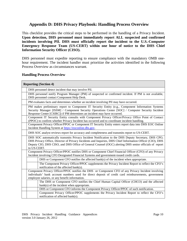# **Appendix D: DHS Privacy Playbook: Handling Process Overview**

This checklist provides the critical steps to be performed in the handling of a Privacy Incident. **Upon detection, DHS personnel must immediately report ALL suspected and confirmed incidents involving PII. DHS must officially report the incident to the U.S.-Computer Emergency Response Team (US-CERT) within one hour of notice to the DHS Chief Information Security Officer (CISO).** 

DHS personnel must expedite reporting to ensure compliance with the mandatory OMB onehour requirement. The incident handler must prioritize the activities identified in the following Process Overview as circumstances warrant.

#### **Handling Process Overview**

| <b>Reporting (Section 4)</b>                                                                                                                                                                                                                                                                                                             |  |
|------------------------------------------------------------------------------------------------------------------------------------------------------------------------------------------------------------------------------------------------------------------------------------------------------------------------------------------|--|
| DHS personnel detect incident that may involve PII.                                                                                                                                                                                                                                                                                      |  |
| DHS personnel notify Program Manager (PM) of suspected or confirmed incident. If PM is not available,<br>DHS personnel contact Component Help Desk.                                                                                                                                                                                      |  |
| PM evaluates facts and determines whether an incident involving PII may have occurred.                                                                                                                                                                                                                                                   |  |
| PM makes preliminary report to Component IT Security Entity (e.g., Component Information Systems<br>Security Manager [ISSM] / Component Security Operations Center [SOC] / Computer Security Incident<br>Response Center [CSIRC]) if PM determines an incident may have occurred.                                                        |  |
| Component IT Security Entity consults with Component Privacy Officer/Privacy Office Point of Contact<br>(PPOC) to confirm whether Privacy Incident has occurred and to coordinate incident handling.                                                                                                                                     |  |
| Component Privacy Officer/PPOC or Component IT Security Entity enters report data into DHS EOC Online<br>Incident Handling System at https://eoconline.dhs.gov.                                                                                                                                                                          |  |
| DHS SOC analyst reviews report for accuracy and completeness and transmits report to US-CERT.                                                                                                                                                                                                                                            |  |
| DHS SOC automatically transmits Privacy Incident Notification to the DHS Deputy Secretary, DHS CPO,<br>DHS Privacy Office, Director of Privacy Incidents and Inquiries, DHS Chief Information Officer (CIO), DHS<br>Deputy CIO, DHS CISO, and DHS Office of General Counsel (OGC) alerting DHS senior officials of report<br>to US-CERT. |  |
| Component Privacy Officer/PPOC notifies DHS or Component Chief Financial Officer (CFO) of any Privacy<br>Incident involving CFO Designated Financial Systems and government-issued credit cards.                                                                                                                                         |  |
| DHS or Component CFO notifies the affected bank(s) of the incident when appropriate.                                                                                                                                                                                                                                                     |  |
| The Component Privacy Officer/PPOC supplements the Privacy Incident Report to reflect the CFO's<br>notification of the affected bank(s).                                                                                                                                                                                                 |  |
| Component Privacy Officer/PPOC notifies the DHS or Component CFO of any Privacy Incident involving<br>individuals' bank account numbers used for direct deposit of credit card reimbursements, government<br>employee salaries, or any benefit information.                                                                              |  |
| The DHS or Component CFO notifies the Chief Human Capital Officer (CHCO) and the affected<br>$bank(s)$ of the incident when appropriate.                                                                                                                                                                                                 |  |
| DHS or Component CFO informs the Component Privacy Officer/PPOC of such notification.                                                                                                                                                                                                                                                    |  |
| Component Privacy Officer/PPOC supplements the Privacy Incident Report to reflect the CFO's<br>notification of affected bank(s).                                                                                                                                                                                                         |  |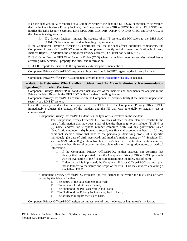| If an incident was initially reported as a Computer Security Incident and DHS SOC subsequently determines  |  |  |
|------------------------------------------------------------------------------------------------------------|--|--|
| that the incident is also a Privacy Incident, the Component Privacy Officer/PPOC is notified. DHS SOC then |  |  |
| notifies the DHS Deputy Secretary, DHS CPO, DHS CIO, DHS Deputy CIO, DHS CISO, and DHS OGC of              |  |  |
| the change in categorization.                                                                              |  |  |
| $\Box$                                                                                                     |  |  |
| If a Privacy Incident impacts the security of an IT system, the PM refers to the DHS SOC                   |  |  |
| CONOPS document for incident handling requirements.                                                        |  |  |
| If the Component Privacy Officer/PPOC determines that the incident affects additional components, the      |  |  |
| Component Privacy Officer/PPOC must notify components directly and document notification in Privacy        |  |  |
| Incident Report. In addition, the Component Privacy Officer/PPOC must notify DHS SOC.                      |  |  |
| DHS CIO notifies the DHS Chief Security Office (CSO) when the incident involves security-related issues    |  |  |
| affecting DHS personnel, property, facilities, and information.                                            |  |  |
|                                                                                                            |  |  |
| US-CERT reports the incident to the appropriate external government entities.                              |  |  |
| Component Privacy Officer/PPOC responds to inquiries from US-CERT regarding the Privacy Incident.          |  |  |
| Component Privacy Officer/PPOC supplements report at https://eoconline.dhs.gov as needed.                  |  |  |
| Escalation to Determine Who Handles Incident and To Make Preliminary Recommendation                        |  |  |
| <b>Regarding Notification (Section 5)</b>                                                                  |  |  |
| Component Privacy Officer/PPOC conducts a risk analysis of the incident and documents the analysis in the  |  |  |
|                                                                                                            |  |  |
| Privacy Incident Report in the DHS EOC Online Incident Handling System.                                    |  |  |
| Component Privacy Officer/PPOC consults with the Component IT Security Entity if the incident impacts the  |  |  |
| security of a DHS IT system.                                                                               |  |  |
| Once the Privacy Incident has been reported to the DHS SOC, the Component Privacy Officer/PPOC             |  |  |
| immediately evaluates the context of the incident and the PII that was potentially or actually lost or     |  |  |
| compromised.                                                                                               |  |  |
| Component Privacy Officer/PPOC identifies the type of risk involved in the incident.                       |  |  |
| The Component Privacy Officer/PPOC evaluates whether the data elements constitute the                      |  |  |
| type of information that may pose a risk of identity theft (e.g., types include: (1) SSN; or               |  |  |
| (2) name, address, or telephone number combined with: (a) any government-issued                            |  |  |
| identification number; (b) biometric record; (c) financial account number; or (d) any                      |  |  |
| additional specific factor that adds to the personally identifying profile of a specific                   |  |  |
| individual; (3) date of birth, password, and mother's maiden name; or (4) Sensitive PII,                   |  |  |
|                                                                                                            |  |  |
| such as SSN, Alien Registration Number, driver's license or state identification number,                   |  |  |
| passport number, financial account number, citizenship or immigration status, or medical                   |  |  |
| information.                                                                                               |  |  |
| If the Component Privacy Officer/PPOC neither suspects nor confirms that<br>П                              |  |  |
| identity theft is implicated, then the Component Privacy Officer/PPOC proceeds                             |  |  |
| with the evaluation of the five factors determining the likely risk of harm.                               |  |  |
| If identity theft is implicated, the Component Privacy Officer/PPOC creates a plan<br>Ц                    |  |  |
| that is tailored to the nature and scope of the risk. This may involve convening a                         |  |  |
| specialized PIRT.                                                                                          |  |  |
|                                                                                                            |  |  |
| Component Privacy Officer/PPOC evaluates the five factors to determine the likely risk of harm             |  |  |
| posed by the Privacy Incident:                                                                             |  |  |
| The nature of the data elements involved;<br>п                                                             |  |  |
| The number of individuals affected;<br>П                                                                   |  |  |
| The likelihood the PII is accessible and usable;<br>П                                                      |  |  |
| The likelihood the Privacy Incident may lead to harm;<br>◻                                                 |  |  |
| The ability to mitigate the risk of harm.<br>□                                                             |  |  |
| Component Privacy Officer/PPOC assigns an impact level of low, moderate, or high to each risk factor.      |  |  |
|                                                                                                            |  |  |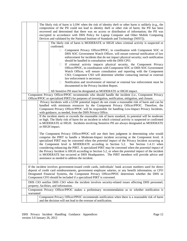|                                                                                                                                                                                                                                                                                                                                                                                                | The likely risk of harm is LOW when the risk of identity theft or other harm is unlikely (e.g., the<br>compromise of the PII could not lead to identity theft or other risk of harm; the PII has been<br>recovered and determined that there was no access or distribution of information; the PII was<br>encrypted in accordance with DHS Policy for Laptop Computer and Other Mobile Computing<br>Devices and validated by the National Institute of Standards and Technology [NIST]).<br>The likely risk of harm is MODERATE or HIGH when criminal activity is suspected or<br>confirmed.                                                                                                                                                             |
|------------------------------------------------------------------------------------------------------------------------------------------------------------------------------------------------------------------------------------------------------------------------------------------------------------------------------------------------------------------------------------------------|----------------------------------------------------------------------------------------------------------------------------------------------------------------------------------------------------------------------------------------------------------------------------------------------------------------------------------------------------------------------------------------------------------------------------------------------------------------------------------------------------------------------------------------------------------------------------------------------------------------------------------------------------------------------------------------------------------------------------------------------------------|
|                                                                                                                                                                                                                                                                                                                                                                                                | Component Privacy Officer/PPOC, in coordination with Component SOC or<br>П<br>DHS SOC Government Watch Officer, will ensure external notification of law<br>enforcement for incidents that do not impact physical security; such notification<br>should be handled in consultation with the DHS CPO.<br>If criminal activity impacts physical security, the Component Privacy<br>u<br>Officer/PPOC, in coordination with Component SOC or DHS SOC Government<br>Watch Officer, will ensure consultation and reporting with the Component                                                                                                                                                                                                                 |
|                                                                                                                                                                                                                                                                                                                                                                                                | CSO; Component CSO will determine whether contacting internal or external<br>law enforcement is necessary.<br>Notification and involvement of internal or external law enforcement must be<br>П.<br>documented in the Privacy Incident Report.<br>All Sensitive PII must be designated as MODERATE or HIGH impact.                                                                                                                                                                                                                                                                                                                                                                                                                                       |
|                                                                                                                                                                                                                                                                                                                                                                                                | Component Privacy Officer/PPOC recommends who should handle the incident (i.e., Component Privacy<br>Officer/PPOC or specialized PIRT) for purposes of investigation, notification, mitigation, and closure.                                                                                                                                                                                                                                                                                                                                                                                                                                                                                                                                             |
|                                                                                                                                                                                                                                                                                                                                                                                                | Privacy Incidents with a LOW potential impact do not create a reasonable risk of harm and can be<br>handled with minimum resources by the Component Privacy Officer/PPOC. Therefore, the<br>Component Privacy Officer/PPOC will be responsible for handling Low-Impact Privacy Incidents,<br>with guidance, as needed, from the DHS Privacy Office.                                                                                                                                                                                                                                                                                                                                                                                                      |
|                                                                                                                                                                                                                                                                                                                                                                                                | If the incident meets or exceeds the reasonable risk of harm standard, its potential will be moderate<br>or high. The likely risk of harm for an incident in which criminal activity is suspected or confirmed<br>is MODERATE or HIGH. Incidents involving Sensitive PII are always designated as MODERATE<br>or HIGH impact.                                                                                                                                                                                                                                                                                                                                                                                                                            |
|                                                                                                                                                                                                                                                                                                                                                                                                | The Component Privacy Officer/PPOC will use their best judgment in determining who would<br>comprise the PIRT to handle a Moderate-Impact incident occurring at the Component level. A<br>specialized PIRT may be convened when the <i>potential impact</i> of the Privacy Incident occurring at<br>the Component level is MODERATE according to Section 5.2. See Section 1.4.11 when<br>considering enhancing the PIRT. A specialized PIRT may be convened when the <i>potential impact</i> of<br>the Privacy Incident is HIGH according to Section 5.2, or when the <i>potential impact</i> of the incident<br>is MODERATE but occurred at DHS Headquarters. The PIRT members will provide advice and<br>assistance as needed to address the incident. |
| If the incident involves government-issued credit cards, individuals' bank account numbers used for direct<br>deposit of credit card reimbursements, government employee salaries, or any benefit information, or CFO<br>Designated Financial Systems, the Component Privacy Officer/PPOC determines whether the DHS or<br>Component CFO should be included if a specialized PIRT is convened. |                                                                                                                                                                                                                                                                                                                                                                                                                                                                                                                                                                                                                                                                                                                                                          |
|                                                                                                                                                                                                                                                                                                                                                                                                | DHS CIO notifies DHS CSO when the incident involves security-related issues affecting DHS personnel,<br>property, facilities, and information.                                                                                                                                                                                                                                                                                                                                                                                                                                                                                                                                                                                                           |
| warranted                                                                                                                                                                                                                                                                                                                                                                                      | Component Privacy Officer/PPOC makes a preliminary recommendation as to whether notification is                                                                                                                                                                                                                                                                                                                                                                                                                                                                                                                                                                                                                                                          |
|                                                                                                                                                                                                                                                                                                                                                                                                | Component Privacy Officer/PPOC recommends notification when there is a reasonable risk of harm<br>and the decision will not lead to the overuse of notification.                                                                                                                                                                                                                                                                                                                                                                                                                                                                                                                                                                                         |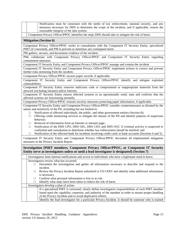| Component Privacy Officer/PPOC identifies the steps DHS should take to mitigate the risk of harm.<br><b>Mitigation (Section 6)</b><br>Component Privacy Officer/PPOC works in consultation with the Component IT Security Entity, specialized<br>PIRT (if convened), and PM to prevent or minimize any consequent harm.<br>PM gathers, secures, and documents evidence of the incident.<br>PMs collaborate with Component Privacy Officer/PPOC and Component IT Security Entity regarding<br>containment measures.<br>Component IT Security Entity and Component Privacy Officer/PPOC manage and contain the incident.<br>Component IT Security Entity and Component Privacy Officer/PPOC implement actions to correct and prevent<br>further risks stemming from the incident.<br>Component Privacy Officer/PPOC secures paper records, if applicable.<br>Component IT Security Entity and Component Privacy Officer/PPOC identify and mitigate exploited<br>vulnerabilities.<br>Component IT Security Entity removes malicious code or compromised or inappropriate materials from the<br>network (including intranet) and/or Internet.<br>Component IT Security Entity returns affected systems to an operationally ready state and confirms that the<br>affected systems are functioning normally.<br>Component Privacy Officer/PPOC restores security measures protecting paper information, if applicable.<br>Component IT Security Entity and Component Privacy Officer/PPOC consider countermeasures as dictated by the<br>nature and sensitivity of the PII, including but not limited to:<br>Notification of affected individuals, the public, and other government entities (Section 8);<br>□<br>Offering credit monitoring services to mitigate the misuse of the PII and identify patterns of suspicious<br>□<br>behavior;<br>Removal of information from an Internet or intranet page;<br>□<br>Notification of the DHS CPO, DHS OIG, DHS CSO, and DHS OGC if criminal activity is suspected or<br>□<br>confirmed and consultation to determine whether law enforcement should be notified; and<br>Notification of the affected bank for incidents involving credit cards or bank accounts (Sections 4 and 5).<br>Component IT Security Entity and Component Privacy Officer/PPOC document all implemented mitigation<br>measures in the Privacy Incident Report.<br>Investigation [PIRT members, Component Privacy Officer/PPOC, or Component IT Security<br>Entity serve as investigators unless or until a lead investigator is designated] (Section 7)<br>Investigators limit internal notifications and access to individuals who have a legitimate need to know.<br>Investigators review what has occurred:<br>Document the investigation and gather all information necessary to describe and respond to the<br>П.<br>incident.<br>Review the Privacy Incident Report submitted to US-CERT and identify what additional information<br>$\Box$<br>is necessary.<br>Confirm what personal information is lost or at risk.<br>$\Box$<br>Identify what steps have been taken to reduce the risk of harm.<br>П<br>Investigators develop a plan of action.<br>If a specialized PIRT is convened, clearly define investigative responsibilities of each PIRT member<br>based upon the capability, expertise, and authority of the member in order to ensure proper handling<br>of the Privacy Incident and to avoid duplicative efforts.<br>Identify the lead investigator for a particular Privacy Incident. It should be someone who is trained | Notification must be consistent with the needs of law enforcement, national security, and any<br>measures necessary for DHS to determine the scope of the incident, and if applicable, restore the<br>reasonable integrity of the data system. |
|----------------------------------------------------------------------------------------------------------------------------------------------------------------------------------------------------------------------------------------------------------------------------------------------------------------------------------------------------------------------------------------------------------------------------------------------------------------------------------------------------------------------------------------------------------------------------------------------------------------------------------------------------------------------------------------------------------------------------------------------------------------------------------------------------------------------------------------------------------------------------------------------------------------------------------------------------------------------------------------------------------------------------------------------------------------------------------------------------------------------------------------------------------------------------------------------------------------------------------------------------------------------------------------------------------------------------------------------------------------------------------------------------------------------------------------------------------------------------------------------------------------------------------------------------------------------------------------------------------------------------------------------------------------------------------------------------------------------------------------------------------------------------------------------------------------------------------------------------------------------------------------------------------------------------------------------------------------------------------------------------------------------------------------------------------------------------------------------------------------------------------------------------------------------------------------------------------------------------------------------------------------------------------------------------------------------------------------------------------------------------------------------------------------------------------------------------------------------------------------------------------------------------------------------------------------------------------------------------------------------------------------------------------------------------------------------------------------------------------------------------------------------------------------------------------------------------------------------------------------------------------------------------------------------------------------------------------------------------------------------------------------------------------------------------------------------------------------------------------------------------------------------------------------------------------------------------------------------------------------------------------------------------------------------------------------------------------------------------------------------------------------------------------------------------------------------------------------------------------------------------------------------------------------------------------------|------------------------------------------------------------------------------------------------------------------------------------------------------------------------------------------------------------------------------------------------|
|                                                                                                                                                                                                                                                                                                                                                                                                                                                                                                                                                                                                                                                                                                                                                                                                                                                                                                                                                                                                                                                                                                                                                                                                                                                                                                                                                                                                                                                                                                                                                                                                                                                                                                                                                                                                                                                                                                                                                                                                                                                                                                                                                                                                                                                                                                                                                                                                                                                                                                                                                                                                                                                                                                                                                                                                                                                                                                                                                                                                                                                                                                                                                                                                                                                                                                                                                                                                                                                                                                                                                                |                                                                                                                                                                                                                                                |
|                                                                                                                                                                                                                                                                                                                                                                                                                                                                                                                                                                                                                                                                                                                                                                                                                                                                                                                                                                                                                                                                                                                                                                                                                                                                                                                                                                                                                                                                                                                                                                                                                                                                                                                                                                                                                                                                                                                                                                                                                                                                                                                                                                                                                                                                                                                                                                                                                                                                                                                                                                                                                                                                                                                                                                                                                                                                                                                                                                                                                                                                                                                                                                                                                                                                                                                                                                                                                                                                                                                                                                |                                                                                                                                                                                                                                                |
|                                                                                                                                                                                                                                                                                                                                                                                                                                                                                                                                                                                                                                                                                                                                                                                                                                                                                                                                                                                                                                                                                                                                                                                                                                                                                                                                                                                                                                                                                                                                                                                                                                                                                                                                                                                                                                                                                                                                                                                                                                                                                                                                                                                                                                                                                                                                                                                                                                                                                                                                                                                                                                                                                                                                                                                                                                                                                                                                                                                                                                                                                                                                                                                                                                                                                                                                                                                                                                                                                                                                                                |                                                                                                                                                                                                                                                |
|                                                                                                                                                                                                                                                                                                                                                                                                                                                                                                                                                                                                                                                                                                                                                                                                                                                                                                                                                                                                                                                                                                                                                                                                                                                                                                                                                                                                                                                                                                                                                                                                                                                                                                                                                                                                                                                                                                                                                                                                                                                                                                                                                                                                                                                                                                                                                                                                                                                                                                                                                                                                                                                                                                                                                                                                                                                                                                                                                                                                                                                                                                                                                                                                                                                                                                                                                                                                                                                                                                                                                                |                                                                                                                                                                                                                                                |
|                                                                                                                                                                                                                                                                                                                                                                                                                                                                                                                                                                                                                                                                                                                                                                                                                                                                                                                                                                                                                                                                                                                                                                                                                                                                                                                                                                                                                                                                                                                                                                                                                                                                                                                                                                                                                                                                                                                                                                                                                                                                                                                                                                                                                                                                                                                                                                                                                                                                                                                                                                                                                                                                                                                                                                                                                                                                                                                                                                                                                                                                                                                                                                                                                                                                                                                                                                                                                                                                                                                                                                |                                                                                                                                                                                                                                                |
|                                                                                                                                                                                                                                                                                                                                                                                                                                                                                                                                                                                                                                                                                                                                                                                                                                                                                                                                                                                                                                                                                                                                                                                                                                                                                                                                                                                                                                                                                                                                                                                                                                                                                                                                                                                                                                                                                                                                                                                                                                                                                                                                                                                                                                                                                                                                                                                                                                                                                                                                                                                                                                                                                                                                                                                                                                                                                                                                                                                                                                                                                                                                                                                                                                                                                                                                                                                                                                                                                                                                                                |                                                                                                                                                                                                                                                |
|                                                                                                                                                                                                                                                                                                                                                                                                                                                                                                                                                                                                                                                                                                                                                                                                                                                                                                                                                                                                                                                                                                                                                                                                                                                                                                                                                                                                                                                                                                                                                                                                                                                                                                                                                                                                                                                                                                                                                                                                                                                                                                                                                                                                                                                                                                                                                                                                                                                                                                                                                                                                                                                                                                                                                                                                                                                                                                                                                                                                                                                                                                                                                                                                                                                                                                                                                                                                                                                                                                                                                                |                                                                                                                                                                                                                                                |
|                                                                                                                                                                                                                                                                                                                                                                                                                                                                                                                                                                                                                                                                                                                                                                                                                                                                                                                                                                                                                                                                                                                                                                                                                                                                                                                                                                                                                                                                                                                                                                                                                                                                                                                                                                                                                                                                                                                                                                                                                                                                                                                                                                                                                                                                                                                                                                                                                                                                                                                                                                                                                                                                                                                                                                                                                                                                                                                                                                                                                                                                                                                                                                                                                                                                                                                                                                                                                                                                                                                                                                |                                                                                                                                                                                                                                                |
|                                                                                                                                                                                                                                                                                                                                                                                                                                                                                                                                                                                                                                                                                                                                                                                                                                                                                                                                                                                                                                                                                                                                                                                                                                                                                                                                                                                                                                                                                                                                                                                                                                                                                                                                                                                                                                                                                                                                                                                                                                                                                                                                                                                                                                                                                                                                                                                                                                                                                                                                                                                                                                                                                                                                                                                                                                                                                                                                                                                                                                                                                                                                                                                                                                                                                                                                                                                                                                                                                                                                                                |                                                                                                                                                                                                                                                |
|                                                                                                                                                                                                                                                                                                                                                                                                                                                                                                                                                                                                                                                                                                                                                                                                                                                                                                                                                                                                                                                                                                                                                                                                                                                                                                                                                                                                                                                                                                                                                                                                                                                                                                                                                                                                                                                                                                                                                                                                                                                                                                                                                                                                                                                                                                                                                                                                                                                                                                                                                                                                                                                                                                                                                                                                                                                                                                                                                                                                                                                                                                                                                                                                                                                                                                                                                                                                                                                                                                                                                                |                                                                                                                                                                                                                                                |
|                                                                                                                                                                                                                                                                                                                                                                                                                                                                                                                                                                                                                                                                                                                                                                                                                                                                                                                                                                                                                                                                                                                                                                                                                                                                                                                                                                                                                                                                                                                                                                                                                                                                                                                                                                                                                                                                                                                                                                                                                                                                                                                                                                                                                                                                                                                                                                                                                                                                                                                                                                                                                                                                                                                                                                                                                                                                                                                                                                                                                                                                                                                                                                                                                                                                                                                                                                                                                                                                                                                                                                |                                                                                                                                                                                                                                                |
|                                                                                                                                                                                                                                                                                                                                                                                                                                                                                                                                                                                                                                                                                                                                                                                                                                                                                                                                                                                                                                                                                                                                                                                                                                                                                                                                                                                                                                                                                                                                                                                                                                                                                                                                                                                                                                                                                                                                                                                                                                                                                                                                                                                                                                                                                                                                                                                                                                                                                                                                                                                                                                                                                                                                                                                                                                                                                                                                                                                                                                                                                                                                                                                                                                                                                                                                                                                                                                                                                                                                                                |                                                                                                                                                                                                                                                |
|                                                                                                                                                                                                                                                                                                                                                                                                                                                                                                                                                                                                                                                                                                                                                                                                                                                                                                                                                                                                                                                                                                                                                                                                                                                                                                                                                                                                                                                                                                                                                                                                                                                                                                                                                                                                                                                                                                                                                                                                                                                                                                                                                                                                                                                                                                                                                                                                                                                                                                                                                                                                                                                                                                                                                                                                                                                                                                                                                                                                                                                                                                                                                                                                                                                                                                                                                                                                                                                                                                                                                                |                                                                                                                                                                                                                                                |
|                                                                                                                                                                                                                                                                                                                                                                                                                                                                                                                                                                                                                                                                                                                                                                                                                                                                                                                                                                                                                                                                                                                                                                                                                                                                                                                                                                                                                                                                                                                                                                                                                                                                                                                                                                                                                                                                                                                                                                                                                                                                                                                                                                                                                                                                                                                                                                                                                                                                                                                                                                                                                                                                                                                                                                                                                                                                                                                                                                                                                                                                                                                                                                                                                                                                                                                                                                                                                                                                                                                                                                |                                                                                                                                                                                                                                                |
|                                                                                                                                                                                                                                                                                                                                                                                                                                                                                                                                                                                                                                                                                                                                                                                                                                                                                                                                                                                                                                                                                                                                                                                                                                                                                                                                                                                                                                                                                                                                                                                                                                                                                                                                                                                                                                                                                                                                                                                                                                                                                                                                                                                                                                                                                                                                                                                                                                                                                                                                                                                                                                                                                                                                                                                                                                                                                                                                                                                                                                                                                                                                                                                                                                                                                                                                                                                                                                                                                                                                                                |                                                                                                                                                                                                                                                |
|                                                                                                                                                                                                                                                                                                                                                                                                                                                                                                                                                                                                                                                                                                                                                                                                                                                                                                                                                                                                                                                                                                                                                                                                                                                                                                                                                                                                                                                                                                                                                                                                                                                                                                                                                                                                                                                                                                                                                                                                                                                                                                                                                                                                                                                                                                                                                                                                                                                                                                                                                                                                                                                                                                                                                                                                                                                                                                                                                                                                                                                                                                                                                                                                                                                                                                                                                                                                                                                                                                                                                                |                                                                                                                                                                                                                                                |
|                                                                                                                                                                                                                                                                                                                                                                                                                                                                                                                                                                                                                                                                                                                                                                                                                                                                                                                                                                                                                                                                                                                                                                                                                                                                                                                                                                                                                                                                                                                                                                                                                                                                                                                                                                                                                                                                                                                                                                                                                                                                                                                                                                                                                                                                                                                                                                                                                                                                                                                                                                                                                                                                                                                                                                                                                                                                                                                                                                                                                                                                                                                                                                                                                                                                                                                                                                                                                                                                                                                                                                |                                                                                                                                                                                                                                                |
|                                                                                                                                                                                                                                                                                                                                                                                                                                                                                                                                                                                                                                                                                                                                                                                                                                                                                                                                                                                                                                                                                                                                                                                                                                                                                                                                                                                                                                                                                                                                                                                                                                                                                                                                                                                                                                                                                                                                                                                                                                                                                                                                                                                                                                                                                                                                                                                                                                                                                                                                                                                                                                                                                                                                                                                                                                                                                                                                                                                                                                                                                                                                                                                                                                                                                                                                                                                                                                                                                                                                                                |                                                                                                                                                                                                                                                |
|                                                                                                                                                                                                                                                                                                                                                                                                                                                                                                                                                                                                                                                                                                                                                                                                                                                                                                                                                                                                                                                                                                                                                                                                                                                                                                                                                                                                                                                                                                                                                                                                                                                                                                                                                                                                                                                                                                                                                                                                                                                                                                                                                                                                                                                                                                                                                                                                                                                                                                                                                                                                                                                                                                                                                                                                                                                                                                                                                                                                                                                                                                                                                                                                                                                                                                                                                                                                                                                                                                                                                                |                                                                                                                                                                                                                                                |
|                                                                                                                                                                                                                                                                                                                                                                                                                                                                                                                                                                                                                                                                                                                                                                                                                                                                                                                                                                                                                                                                                                                                                                                                                                                                                                                                                                                                                                                                                                                                                                                                                                                                                                                                                                                                                                                                                                                                                                                                                                                                                                                                                                                                                                                                                                                                                                                                                                                                                                                                                                                                                                                                                                                                                                                                                                                                                                                                                                                                                                                                                                                                                                                                                                                                                                                                                                                                                                                                                                                                                                |                                                                                                                                                                                                                                                |
|                                                                                                                                                                                                                                                                                                                                                                                                                                                                                                                                                                                                                                                                                                                                                                                                                                                                                                                                                                                                                                                                                                                                                                                                                                                                                                                                                                                                                                                                                                                                                                                                                                                                                                                                                                                                                                                                                                                                                                                                                                                                                                                                                                                                                                                                                                                                                                                                                                                                                                                                                                                                                                                                                                                                                                                                                                                                                                                                                                                                                                                                                                                                                                                                                                                                                                                                                                                                                                                                                                                                                                |                                                                                                                                                                                                                                                |
|                                                                                                                                                                                                                                                                                                                                                                                                                                                                                                                                                                                                                                                                                                                                                                                                                                                                                                                                                                                                                                                                                                                                                                                                                                                                                                                                                                                                                                                                                                                                                                                                                                                                                                                                                                                                                                                                                                                                                                                                                                                                                                                                                                                                                                                                                                                                                                                                                                                                                                                                                                                                                                                                                                                                                                                                                                                                                                                                                                                                                                                                                                                                                                                                                                                                                                                                                                                                                                                                                                                                                                |                                                                                                                                                                                                                                                |
|                                                                                                                                                                                                                                                                                                                                                                                                                                                                                                                                                                                                                                                                                                                                                                                                                                                                                                                                                                                                                                                                                                                                                                                                                                                                                                                                                                                                                                                                                                                                                                                                                                                                                                                                                                                                                                                                                                                                                                                                                                                                                                                                                                                                                                                                                                                                                                                                                                                                                                                                                                                                                                                                                                                                                                                                                                                                                                                                                                                                                                                                                                                                                                                                                                                                                                                                                                                                                                                                                                                                                                |                                                                                                                                                                                                                                                |
|                                                                                                                                                                                                                                                                                                                                                                                                                                                                                                                                                                                                                                                                                                                                                                                                                                                                                                                                                                                                                                                                                                                                                                                                                                                                                                                                                                                                                                                                                                                                                                                                                                                                                                                                                                                                                                                                                                                                                                                                                                                                                                                                                                                                                                                                                                                                                                                                                                                                                                                                                                                                                                                                                                                                                                                                                                                                                                                                                                                                                                                                                                                                                                                                                                                                                                                                                                                                                                                                                                                                                                |                                                                                                                                                                                                                                                |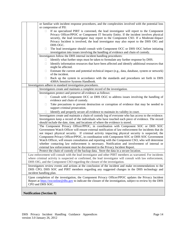|  | or familiar with incident response procedures, and the complexities involved with the potential loss                                                                                                       |
|--|------------------------------------------------------------------------------------------------------------------------------------------------------------------------------------------------------------|
|  | or compromise of PII:                                                                                                                                                                                      |
|  | If no specialized PIRT is convened, the lead investigator will report to the Component<br>П.<br>Privacy Officer/PPOC or Component IT Security Entity. If the incident involves physical                    |
|  | security, the lead investigator may report to the Component CSO. If a Moderate-Impact                                                                                                                      |
|  | Privacy Incident is involved, the lead investigator may also report to the DHS OIG and                                                                                                                     |
|  | DHS OGC.                                                                                                                                                                                                   |
|  | The lead investigator should consult with Component OCC or DHS OGC before initiating<br>Ц                                                                                                                  |
|  | investigation into issues involving the handling of evidence and chain of custody.                                                                                                                         |
|  | Investigators follow the DHS internal incident handling procedures:                                                                                                                                        |
|  | Identify what further steps must be taken to formulate any further response by DHS.<br>П                                                                                                                   |
|  | Identify information resources that have been affected and identify additional resources that<br>□                                                                                                         |
|  | might be affected.                                                                                                                                                                                         |
|  | Estimate the current and potential technical impact (e.g., data, database, system or network)<br>Ц                                                                                                         |
|  | of the incident.                                                                                                                                                                                           |
|  | Back up the system in accordance with the standards and procedures set forth in DHS<br>Ц<br>4300A Sensitive Systems Handbook.                                                                              |
|  | Investigators adhere to standard investigation procedures.                                                                                                                                                 |
|  | Investigators create and maintain a complete record of the investigation.                                                                                                                                  |
|  | Investigators protect and preserve all evidence as follows:                                                                                                                                                |
|  | Consult with Component OCC or DHS OGC to address issues involving the handling of<br>П                                                                                                                     |
|  | evidence and chain of custody.                                                                                                                                                                             |
|  | Take precautions to prevent destruction or corruption of evidence that may be needed to<br>$\mathbf{L}$                                                                                                    |
|  | support criminal prosecution.                                                                                                                                                                              |
|  | Identify and properly secure all evidence to maintain its validity in court.                                                                                                                               |
|  | Investigators create and maintain a chain of custody log of everyone who has access to the evidence.<br>Investigators keep a record of the individuals who have touched each piece of evidence. The record |
|  | should include the date, time, and locations of where the evidence is stored.                                                                                                                              |
|  | The Component Privacy Officer/PPOC, in coordination with Component SOC or DHS SOC                                                                                                                          |
|  | Government Watch Officer will ensure external notification of law enforcement for incidents that do                                                                                                        |
|  | not impact physical security. If criminal activity impacting physical security is suspected, the                                                                                                           |
|  | Component Privacy Officer/PPOC, in coordination with Component SOC or DHS SOC Government<br>Watch Officer, will ensure consultation and reporting with the Component CSO, who will determine               |
|  | whether contacting law enforcement is necessary. Notification and involvement of internal or                                                                                                               |
|  | external law enforcement must be documented in the Privacy Incident Report.                                                                                                                                |
|  | Protect the chain of custody of the backup data. Store the data in a secure location.                                                                                                                      |
|  | Law enforcement will consult with the lead investigator and other PIRT members as warranted. For incidents                                                                                                 |
|  | where criminal activity is suspected or confirmed, the lead investigator will consult with law enforcement,                                                                                                |
|  | DHS OIG, and the Component CSO regarding the closure of the investigation.                                                                                                                                 |
|  | Investigators review events and actions at the conclusion of the incident and make recommendations to the                                                                                                  |
|  | DHS CPO, DHS SOC and PIRT members regarding any suggested changes in the DHS technology and                                                                                                                |
|  | incident handling plan.                                                                                                                                                                                    |
|  | Upon completion of the investigation, the Component Privacy Officer/PPOC updates the Privacy Incident                                                                                                      |
|  | Report at https://eoconline@dhs.gov to indicate the closure of the investigation, subject to review by the DHS                                                                                             |
|  | CPO and DHS SOC.                                                                                                                                                                                           |
|  |                                                                                                                                                                                                            |
|  | <b>Notification (Section 8)</b>                                                                                                                                                                            |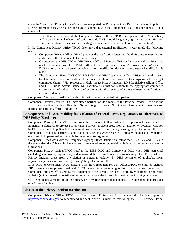| Once the Component Privacy Officer/PPOC has completed the Privacy Incident Report, a decision to publicly<br>release information may be reached through collaboration with the Component Head and specialized PIRT if<br>convened.                                                                                                                                                                                                                                                                                                                                                                                                                                                                                                                                                                                                |  |  |
|-----------------------------------------------------------------------------------------------------------------------------------------------------------------------------------------------------------------------------------------------------------------------------------------------------------------------------------------------------------------------------------------------------------------------------------------------------------------------------------------------------------------------------------------------------------------------------------------------------------------------------------------------------------------------------------------------------------------------------------------------------------------------------------------------------------------------------------|--|--|
| If notification is warranted, the Component Privacy Officer/PPOC, and specialized PIRT members,<br>will assess how and when notification outside DHS should be given (e.g., timing of notification,<br>source of notification, means for providing notification, and who should receive notification).                                                                                                                                                                                                                                                                                                                                                                                                                                                                                                                            |  |  |
| If the Component Privacy Officer/PPOC determines that external notification is warranted, the following<br>occur:<br>Component Privacy Officer/PPOC prepares the notification letter and the draft press release, if any,<br>$\Box$<br>and consults the Component Head if necessary.<br>On occasion, the DHS CPO or DHS Privacy Office, Director of Privacy Incidents and Inquiries, may<br>$\Box$<br>need to coordinate with DHS Public Affairs Office to provide reasonable advance internal notice to<br>DHS senior officials by email or voicemail of a notification decision before external notification is<br>made.<br>The Component Head, DHS CPO, DHS CIO and DHS Legislative Affairs Office will work closely<br>$\Box$<br>to determine when notification of the incident should be provided to congressional oversight |  |  |
| committee chairs. With respect to a High-Impact Privacy Incident, DHS Legislative Affairs Office<br>and DHS Public Affairs Office will coordinate so that notification to the appropriate committee<br>chair(s) is issued either in advance of or along with the issuance of a press release or notification to<br>affected individuals.                                                                                                                                                                                                                                                                                                                                                                                                                                                                                          |  |  |
| Component Privacy Officer/PPOC sends notification letter to affected third parties.                                                                                                                                                                                                                                                                                                                                                                                                                                                                                                                                                                                                                                                                                                                                               |  |  |
| Component Privacy Officer/PPOC may attach notification documents to the Privacy Incident Report in the<br>DHS EOC Online Incident Handling System (e.g., External Notification Assessment, press release,<br>notification letter to affected individuals).                                                                                                                                                                                                                                                                                                                                                                                                                                                                                                                                                                        |  |  |
| Consequences and Accountability for Violation of Federal Laws, Regulations, or Directives, or<br><b>DHS Policy (Section 9)</b>                                                                                                                                                                                                                                                                                                                                                                                                                                                                                                                                                                                                                                                                                                    |  |  |
| Component Privacy Officer/PPOC informs the Component Head when DHS personnel have failed to<br>implement safeguards to protect PII, or when a Privacy Incident arose from a violation or potential violation<br>by DHS personnel of applicable laws, regulations, policies, or directives governing the protection of PII.                                                                                                                                                                                                                                                                                                                                                                                                                                                                                                        |  |  |
| Component Heads take corrective and disciplinary actions when security or Privacy Incidents and violations<br>occur and hold personnel accountable for intentional transgressions.                                                                                                                                                                                                                                                                                                                                                                                                                                                                                                                                                                                                                                                |  |  |
| Component Heads work with the Designated Agency Ethics Officials as well as the OIG, OGC, and CHCO in<br>the event that the Privacy Incident arises from violations or potential violations of the ethics statutes or<br>regulations.                                                                                                                                                                                                                                                                                                                                                                                                                                                                                                                                                                                             |  |  |
| Component Privacy Officer/PPOC notifies the DHS OGC and Component OCC when DHS personnel<br>(including employees, supervisors, and managers) fail to implement safeguards to protect PII or when a<br>Privacy Incident arose from a violation or potential violation by DHS personnel of applicable laws,<br>regulations, policies, or directives governing the protection of PII.                                                                                                                                                                                                                                                                                                                                                                                                                                                |  |  |
| DHS OGC or Component OCC consults with the Component Privacy Officer/PPOC or other specialized<br>PIRT members, Component Head, and CHCO on legal issues pertaining to disciplinary or corrective action.                                                                                                                                                                                                                                                                                                                                                                                                                                                                                                                                                                                                                         |  |  |
| Component Privacy Officer/PPOC may document in the Privacy Incident Report any violation(s) or potential<br>violation(s) that caused or contributed to, in part or whole, the Privacy Incident without naming personnel.                                                                                                                                                                                                                                                                                                                                                                                                                                                                                                                                                                                                          |  |  |
| CHCO maintains a record of all disciplinary or corrective actions taken against DHS personnel that arise out<br>of a Privacy Incident.                                                                                                                                                                                                                                                                                                                                                                                                                                                                                                                                                                                                                                                                                            |  |  |
| <b>Closure of the Privacy Incident (Section 10)</b>                                                                                                                                                                                                                                                                                                                                                                                                                                                                                                                                                                                                                                                                                                                                                                               |  |  |
| Component Privacy Officer/PPOC and Component IT Security Entity update the incident report at                                                                                                                                                                                                                                                                                                                                                                                                                                                                                                                                                                                                                                                                                                                                     |  |  |

Component Privacy Officer/PPOC and Component IT Security Entity update the incident report at [https://eoconline.dhs.gov](https://eoconline.dhs.gov/) to recommend incident closure, subject to review by the DHS Privacy Office,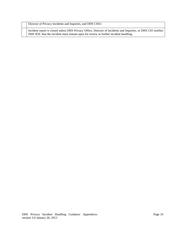Director of Privacy Incidents and Inquiries, and DHS CISO.

Incident report is closed unless DHS Privacy Office, Director of Incidents and Inquiries, or DHS CIO notifies DHS SOC that the incident must remain open for review or further incident handling.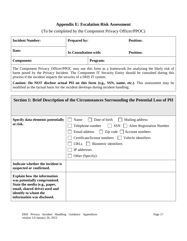# **Appendix E: Escalation Risk Assessment**

# (To be completed by the Component Privacy Officer/PPOC)

| <b>Incident Number:</b>                                                                                                                                                                    | Prepared by:                                                             | <b>Position:</b>                                                                                                                                                                                                              |
|--------------------------------------------------------------------------------------------------------------------------------------------------------------------------------------------|--------------------------------------------------------------------------|-------------------------------------------------------------------------------------------------------------------------------------------------------------------------------------------------------------------------------|
| Date:                                                                                                                                                                                      | In Consultation with:                                                    | <b>Position:</b>                                                                                                                                                                                                              |
| <b>Component:</b>                                                                                                                                                                          |                                                                          | Program:                                                                                                                                                                                                                      |
| process if the incident impacts the security of a DHS IT system.                                                                                                                           |                                                                          | The Component Privacy Officer/PPOC may use this form as a framework for analyzing the likely risk of<br>harm posed by the Privacy Incident. The Component IT Security Entity should be consulted during this                  |
| modified as the factual basis for the incident develops during incident handling.                                                                                                          |                                                                          | Caution: Do NOT disclose actual PII on this form (e.g., SSN, name, etc.). This assessment may be                                                                                                                              |
|                                                                                                                                                                                            |                                                                          |                                                                                                                                                                                                                               |
|                                                                                                                                                                                            |                                                                          | Section 1: Brief Description of the Circumstances Surrounding the Potential Loss of PII                                                                                                                                       |
|                                                                                                                                                                                            |                                                                          |                                                                                                                                                                                                                               |
| Specify data elements potentially<br>at risk.                                                                                                                                              | Name<br>Email address<br><b>URLs</b><br>IP addresses<br>Other (Specify): | Date of birth<br>Mailing address<br>$\vert$ SSN<br><b>Alien Registration Number</b><br>Telephone number<br>$Zip code$ $\Box$ Account numbers<br>  Vehicle identifiers<br>Certificate/license numbers<br>Biometric identifiers |
| Indicate whether the incident is<br>suspected or confirmed.                                                                                                                                |                                                                          |                                                                                                                                                                                                                               |
| <b>Explain how the information</b><br>was potentially compromised.<br>State the media (e.g., paper,<br>email, shared drive) used and<br>identify to whom the<br>information was disclosed. |                                                                          |                                                                                                                                                                                                                               |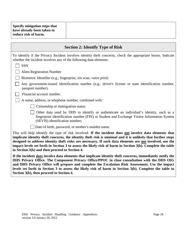|                      | Specify mitigation steps that |  |
|----------------------|-------------------------------|--|
| reduce risk of harm. | have already been taken to    |  |
|                      |                               |  |

| <b>Section 2: Identify Type of Risk</b>                                                                                                                                                                                                                                                                                                                                                                                                                                                          |  |  |
|--------------------------------------------------------------------------------------------------------------------------------------------------------------------------------------------------------------------------------------------------------------------------------------------------------------------------------------------------------------------------------------------------------------------------------------------------------------------------------------------------|--|--|
| To identify if the Privacy Incident involves identity theft concerns, check the appropriate boxes. Indicate<br>whether the incident involves any of the following data elements:                                                                                                                                                                                                                                                                                                                 |  |  |
| <b>SSN</b>                                                                                                                                                                                                                                                                                                                                                                                                                                                                                       |  |  |
| <b>Alien Registration Number</b>                                                                                                                                                                                                                                                                                                                                                                                                                                                                 |  |  |
| Biometric Identifier (e.g., fingerprint, iris scan, voice print)                                                                                                                                                                                                                                                                                                                                                                                                                                 |  |  |
| Any government-issued identification number (e.g., driver's license or state identification number,<br>passport number).                                                                                                                                                                                                                                                                                                                                                                         |  |  |
| Financial account number.                                                                                                                                                                                                                                                                                                                                                                                                                                                                        |  |  |
| A name, address, or telephone number, combined with:                                                                                                                                                                                                                                                                                                                                                                                                                                             |  |  |
| Citizenship or immigration status.                                                                                                                                                                                                                                                                                                                                                                                                                                                               |  |  |
| Other data used by DHS to identify or authenticate an individual's identity, such as a<br>fingerprint identification number (FIN) or Student and Exchange Visitor Information System<br>(SEVIS) identification number;                                                                                                                                                                                                                                                                           |  |  |
| Date of birth, password, or mother's maiden name.                                                                                                                                                                                                                                                                                                                                                                                                                                                |  |  |
| This will help identify the type of risk involved. If the incident does not involve data elements that<br>implicate identity theft concerns, the identity theft risk is minimal and it is unlikely that further steps<br>designed to address identity theft risks are necessary. If such data elements are not involved, use the<br>impact levels set forth in Section 3 to assess the likely risk of harm in Section 3(b). Complete the table<br>in Section 3(b) and then proceed to Section 4. |  |  |
| If the incident does involve data elements that implicate identity theft concerns, immediately notify the<br>DHS Privacy Office. The Component Privacy Office/PPOC in close consultation with the DHS OIG<br>and DHS Privacy Office will prepare and complete the Escalation Risk Assessment. Use the impact<br>levels set forth in Section 3 to assess the likely risk of harm in Section 3(b). Complete the table in<br>Section 3(b), then proceed to Section 4.                               |  |  |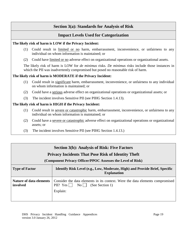# **Section 3(a): Standards for Analysis of Risk**

# **Impact Levels Used for Categorization**

## **The likely risk of harm is LOW if the Privacy Incident:**

- (1) Could result in limited or no harm, embarrassment, inconvenience, or unfairness to any individual on whom information is maintained; or
- (2) Could have limited or no adverse effect on organizational operations or organizational assets.

The likely risk of harm is LOW for *de minimus* risks. *De minimus* risks include those instances in which the PII was inadvertently compromised but posed no reasonable risk of harm.

# **The likely risk of harm is MODERATE if the Privacy Incident:**

- (1) Could result in significant harm, embarrassment, inconvenience, or unfairness to any individual on whom information is maintained; or
- (2) Could have a serious adverse effect on organizational operations or organizational assets; or
- (3) The incident involves Sensitive PII (see PIHG Section 1.4.13).

# **The likely risk of harm is HIGH if the Privacy Incident:**

- (1) Could result in severe or catastrophic harm, embarrassment, inconvenience, or unfairness to any individual on whom information is maintained; or
- (2) Could have a severe or catastrophic adverse effect on organizational operations or organizational assets; or
- (3) The incident involves Sensitive PII (see PIHG Section 1.4.13.)

| <b>Section 3(b): Analysis of Risk: Five Factors</b><br><b>Privacy Incidents That Pose Risk of Identity Theft</b><br>(Component Privacy Officer/PPOC Assesses the Level of Risk) |                                                                                                                                                                |  |
|---------------------------------------------------------------------------------------------------------------------------------------------------------------------------------|----------------------------------------------------------------------------------------------------------------------------------------------------------------|--|
| <b>Type of Factor</b>                                                                                                                                                           | Identify Risk Level (e.g., Low, Moderate, High) and Provide Brief, Specific<br><b>Explanation</b>                                                              |  |
| <b>Nature of data elements</b><br>involved                                                                                                                                      | Consider the data elements in its context. Were the data elements compromised<br>PII? Yes $\vert \vert$<br>(See Section 1)<br>$\overline{N_0}$    <br>Explain: |  |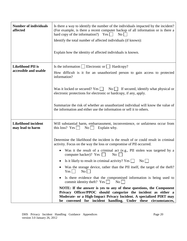| <b>Number of individuals</b><br>affected          | Is there a way to identify the number of the individuals impacted by the incident?<br>(For example, is there a recent computer backup of all information or is there a<br>hard copy of the information?) Yes $\Box$<br>$\rm{No}$    <br>Identify the total number of affected individuals (if known):                                                                                                                                                                                                                                                                                                                                                                                                                                             |  |  |
|---------------------------------------------------|---------------------------------------------------------------------------------------------------------------------------------------------------------------------------------------------------------------------------------------------------------------------------------------------------------------------------------------------------------------------------------------------------------------------------------------------------------------------------------------------------------------------------------------------------------------------------------------------------------------------------------------------------------------------------------------------------------------------------------------------------|--|--|
|                                                   | Explain how the identity of affected individuals is known.                                                                                                                                                                                                                                                                                                                                                                                                                                                                                                                                                                                                                                                                                        |  |  |
| <b>Likelihood PII is</b><br>accessible and usable | Is the information $\Box$ Electronic or $\Box$ Hardcopy?<br>How difficult is it for an unauthorized person to gain access to protected<br>information?<br>Was it locked or secured? Yes $\Box$ No $\Box$ If secured, identify what physical or<br>electronic protections for electronic or hardcopy, if any, apply.<br>Summarize the risk of whether an unauthorized individual will know the value of<br>the information and either use the information or sell it to others.                                                                                                                                                                                                                                                                    |  |  |
| Likelihood incident<br>may lead to harm           | Will substantial harm, embarrassment, inconvenience, or unfairness occur from<br>this loss? Yes $\Box$<br>$\overline{N_0}$  <br>Explain why.                                                                                                                                                                                                                                                                                                                                                                                                                                                                                                                                                                                                      |  |  |
|                                                   | Determine the likelihood the incident is the result of or could result in criminal<br>activity. Focus on the way the loss or compromise of PII occurred.<br>Was it the result of a criminal act (e.g., PII stolen was targeted by a<br>computer hacker)? Yes $\Box$<br>No<br>Is it likely to result in criminal activity? Yes<br>$\mathrm{No}$    <br>Was the storage device, rather than the PII itself, the target of the theft?<br>$Yes \mid \top$<br>$\overline{N_{O}}$<br>Is there evidence that the compromised information is being used to<br>commit identity theft? $Yes$<br>$\mathrm{No}$    <br>NOTE: If the answer is yes to any of these questions, the Component<br>Privacy Officer/PPOC should categorize the incident as either a |  |  |
|                                                   | Moderate- or a High-Impact Privacy Incident. A specialized PIRT may<br>be convened for incident handling. Under these circumstances,                                                                                                                                                                                                                                                                                                                                                                                                                                                                                                                                                                                                              |  |  |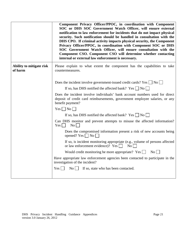|                                     | Component Privacy Officer/PPOC, in coordination with Component<br>SOC or DHS SOC Government Watch Officer, will ensure external<br>notification to law enforcement for incidents that do not impact physical<br>security. Such notification should be handled in consultation with the<br>DHS CPO. If criminal activity impacts physical security, the Component<br>Privacy Officer/PPOC, in coordination with Component SOC or DHS<br>SOC Government Watch Officer, will ensure consultation with the<br>Component CSO. Component CSO will determine whether contacting<br>internal or external law enforcement is necessary. |  |
|-------------------------------------|--------------------------------------------------------------------------------------------------------------------------------------------------------------------------------------------------------------------------------------------------------------------------------------------------------------------------------------------------------------------------------------------------------------------------------------------------------------------------------------------------------------------------------------------------------------------------------------------------------------------------------|--|
| Ability to mitigate risk<br>of harm | Please explain to what extent the component has the capabilities to take<br>countermeasures.                                                                                                                                                                                                                                                                                                                                                                                                                                                                                                                                   |  |
|                                     | Does the incident involve government-issued credit cards? $Yes \mid \text{No} \mid$                                                                                                                                                                                                                                                                                                                                                                                                                                                                                                                                            |  |
|                                     | If so, has DHS notified the affected bank? Yes $ $  No                                                                                                                                                                                                                                                                                                                                                                                                                                                                                                                                                                         |  |
|                                     | Does the incident involve individuals' bank account numbers used for direct<br>deposit of credit card reimbursements, government employee salaries, or any<br>benefit payment?                                                                                                                                                                                                                                                                                                                                                                                                                                                 |  |
|                                     | $Yes \Box No \Box$                                                                                                                                                                                                                                                                                                                                                                                                                                                                                                                                                                                                             |  |
|                                     | If so, has DHS notified the affected bank? Yes $\Box$ No $\Box$                                                                                                                                                                                                                                                                                                                                                                                                                                                                                                                                                                |  |
|                                     | Can DHS monitor and prevent attempts to misuse the affected information?<br>No<br>Yes                                                                                                                                                                                                                                                                                                                                                                                                                                                                                                                                          |  |
|                                     | Does the compromised information present a risk of new accounts being<br>opened? Yes $\Box$ No $\Box$                                                                                                                                                                                                                                                                                                                                                                                                                                                                                                                          |  |
|                                     | If so, is incident monitoring appropriate (e.g., volume of persons affected<br>or law enforcement evidence)? Yes $\Box$<br>$\overline{N_0}$                                                                                                                                                                                                                                                                                                                                                                                                                                                                                    |  |
|                                     | Would credit monitoring be more appropriate? Yes $\Box$<br>$\overline{N_0}$                                                                                                                                                                                                                                                                                                                                                                                                                                                                                                                                                    |  |
|                                     | Have appropriate law enforcement agencies been contacted to participate in the<br>investigation of the incident?                                                                                                                                                                                                                                                                                                                                                                                                                                                                                                               |  |
|                                     | $Yes \mid \mid$<br>$\overline{N_0}$  <br>If so, state who has been contacted.                                                                                                                                                                                                                                                                                                                                                                                                                                                                                                                                                  |  |
|                                     |                                                                                                                                                                                                                                                                                                                                                                                                                                                                                                                                                                                                                                |  |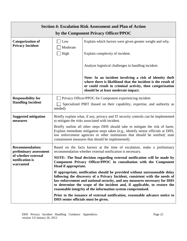| <b>Section 4: Escalation Risk Assessment and Plan of Action</b> |                                                                                                                                                                                                                                                                                                                                                                                    |                                                                                                                                                                                                                             |  |  |
|-----------------------------------------------------------------|------------------------------------------------------------------------------------------------------------------------------------------------------------------------------------------------------------------------------------------------------------------------------------------------------------------------------------------------------------------------------------|-----------------------------------------------------------------------------------------------------------------------------------------------------------------------------------------------------------------------------|--|--|
|                                                                 | by the Component Privacy Officer/PPOC                                                                                                                                                                                                                                                                                                                                              |                                                                                                                                                                                                                             |  |  |
| <b>Categorization of</b><br><b>Privacy Incident</b>             | Low<br>Moderate                                                                                                                                                                                                                                                                                                                                                                    | Explain which factors were given greater weight and why.                                                                                                                                                                    |  |  |
|                                                                 | High                                                                                                                                                                                                                                                                                                                                                                               | Explain complexity of incident.                                                                                                                                                                                             |  |  |
|                                                                 |                                                                                                                                                                                                                                                                                                                                                                                    | Analyze logistical challenges in handling incident.                                                                                                                                                                         |  |  |
|                                                                 |                                                                                                                                                                                                                                                                                                                                                                                    | Note: In an incident involving a risk of identity theft<br>where there is likelihood that the incident is the result of<br>or could result in criminal activity, then categorization<br>should be at least moderate impact. |  |  |
| <b>Responsibility for</b>                                       | Privacy Officer/PPOC for Component experiencing incident                                                                                                                                                                                                                                                                                                                           |                                                                                                                                                                                                                             |  |  |
| <b>Handling Incident</b>                                        | needed)                                                                                                                                                                                                                                                                                                                                                                            | Specialized PIRT (based on their capability, expertise, and authority as                                                                                                                                                    |  |  |
| <b>Suggested mitigation</b><br>measures                         | Briefly explain what, if any, privacy and IT security controls can be implemented<br>to mitigate the risks associated with incident.                                                                                                                                                                                                                                               |                                                                                                                                                                                                                             |  |  |
|                                                                 | Briefly outline all other steps DHS should take to mitigate the risk of harm.<br>Explain immediate mitigation steps taken (e.g., identify senior officials at DHS,<br>law enforcement agencies or other institutions that should be notified; state<br>containment measures that should be implemented).                                                                           |                                                                                                                                                                                                                             |  |  |
| <b>Recommendation:</b><br>preliminary assessment                | Based on the facts known at the time of escalation, make a preliminary<br>recommendation whether external notification is necessary.                                                                                                                                                                                                                                               |                                                                                                                                                                                                                             |  |  |
| of whether external<br>notification is<br>warranted             | NOTE: The final decision regarding external notification will be made by<br>Component Privacy Officer/PPOC in consultation with the Component<br>Head if appropriate.                                                                                                                                                                                                              |                                                                                                                                                                                                                             |  |  |
|                                                                 | If appropriate, notification should be provided without unreasonable delay<br>following the discovery of a Privacy Incident, consistent with the needs of<br>law enforcement and national security, and any measures necessary for DHS<br>to determine the scope of the incident and, if applicable, to restore the<br>reasonable integrity of the information system compromised. |                                                                                                                                                                                                                             |  |  |
| DHS senior officials must be given.                             |                                                                                                                                                                                                                                                                                                                                                                                    | Prior to the issuance of external notification, reasonable advance notice to                                                                                                                                                |  |  |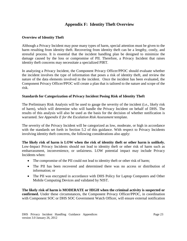# **Appendix F: Identity Theft Overview**

#### **Overview of Identity Theft**

Although a Privacy Incident may pose many types of harm, special attention must be given to the harm resulting from identity theft. Recovering from identity theft can be a lengthy, costly, and stressful process. It is essential that the incident handling plan be designed to minimize the damage caused by the loss or compromise of PII. Therefore, a Privacy Incident that raises identity theft concerns may necessitate a specialized PIRT.

In analyzing a Privacy Incident, the Component Privacy Officer/PPOC should evaluate whether the incident involves the type of information that poses a risk of identity theft, and review the nature of the data elements involved in the incident. Once the incident has been evaluated, the Component Privacy Officer/PPOC will create a plan that is tailored to the nature and scope of the risk.

#### **Standards for Categorization of Privacy Incident Posing Risk of Identity Theft**

The Preliminary Risk Analysis will be used to gauge the severity of the incident (i.e., likely risk of harm), which will determine who will handle the Privacy Incident on behalf of DHS. The results of this analysis will also be used as the basis for the decision of whether notification is warranted. *See Appendix E for the Escalation Risk Assessment* template.

The severity of the Privacy Incident will be categorized as low, moderate, or high in accordance with the standards set forth in Section 5.2 of this guidance. With respect to Privacy Incidents involving identity theft concerns, the following considerations also apply:

**The likely risk of harm is LOW when the risk of identity theft or other harm is unlikely.**  Low-Impact Privacy Incidents should not lead to identity theft or other risk of harm such as embarrassment, inconvenience, or unfairness. LOW potential impact may include Privacy Incidents when:

- The compromise of the PII could not lead to identity theft or other risk of harm;
- The PII has been recovered and determined there was no access or distribution of information; or
- The PII was encrypted in accordance with DHS Policy for Laptop Computers and Other Mobile Computing Devices and validated by NIST.

**The likely risk of harm is MODERATE or HIGH when the criminal activity is suspected or confirmed.** Under these circumstances, the Component Privacy Officer/PPOC, in coordination with Component SOC or DHS SOC Government Watch Officer, will ensure external notification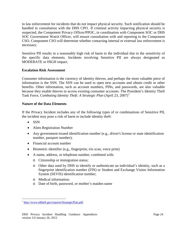to law enforcement for incidents that do not impact physical security. Such notification should be handled in consultation with the DHS CPO. If criminal activity impacting physical security is suspected, the Component Privacy Officer/PPOC, in coordination with Component SOC or DHS SOC Government Watch Officer, will ensure consultation with and reporting to the Component CSO. Component CSO will determine whether contacting internal or external law enforcement is necessary.

Sensitive PII results in a reasonably high risk of harm to the individual due to the sensitivity of the specific data elements. Incidents involving Sensitive PII are always designated as MODERATE or HIGH impact.

## **Escalation Risk Assessment**

Consumer information is the currency of identity thieves, and perhaps the most valuable piece of information is the SSN. The SSN can be used to open new accounts and obtain credit or other benefits. Other information, such as account numbers, PINs, and passwords, are also valuable because they enable thieves to access existing consumer accounts. The President's Identity Theft Task Force, *Combating Identity Theft: A Strategic Plan* (April 23, 2007)<sup>[1](#page-81-0)</sup>

## **Nature of the Data Elements**

If the Privacy Incident includes any of the following types of or combinations of Sensitive PII, the incident may pose a risk of harm to include identity theft:

- SSN
- Alien Registration Number
- Any government-issued identification number (e.g., driver's license or state identification number, passport number);
- Financial account number
- Biometric identifier (e.g., fingerprint, iris scan, voice print)
- A name, address, or telephone number, combined with:
	- o Citizenship or immigration status;
	- o Other data used by DHS to identify or authenticate an individual's identity, such as a fingerprint identification number (FIN) or Student and Exchange Visitor Information System (SEVIS) identification number;
	- o Medical information;
	- o Date of birth, password, or mother's maiden name

<span id="page-81-0"></span> <sup>1</sup> [http://www.idtheft.gov/reports/StrategicPlan.pdf.](http://www.idtheft.gov/reports/StrategicPlan.pdf)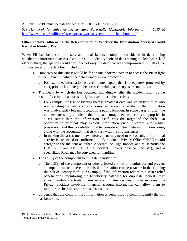#### All Sensitive PII must be categorized as MODERATE or HIGH.

*See Handbook for Safeguarding Sensitive Personally Identifiable Information at DHS at* [http://www.dhs.gov/xlibrary/assets/privacy/privacy\\_guide\\_spii\\_handbook.pdf.](http://www.dhs.gov/xlibrary/assets/privacy/privacy_guide_spii_handbook.pdf)

#### **Other Factors Influencing the Determination of Whether the Information Accessed Could Result in Identity Theft**

When PII has been compromised, additional factors should be considered in determining whether the information accessed could result in identity theft. In determining the level of risk of identity theft, the agency should consider not only the data that was compromised, but all of the circumstances of the data loss, including:

- How easy or difficult it would be for an unauthorized person to access the PII in light of the manner in which the data elements were protected;
	- o For example, information on a computer laptop that is adequately protected by encryption is less likely to be accessed, while paper copies are unprotected.
- The means by which the loss occurred, including whether the incident might be the result of a criminal act or is likely to result in criminal activity;
	- o For example, the risk of identity theft is greater if data was stolen by a thief who was targeting the data (such as a computer hacker), rather than if the information was inadvertently left unprotected in a public location. In some cases of theft, the circumstances might indicate that the data-storage device, such as a laptop left in a car rather than the information itself, was the target of the theft. An opportunistic criminal may exploit information once it comes into his/her possession, and this possibility must be considered when determining a response, along with the recognition that risks vary with the circumstances.
	- o In making this assessment, law enforcement may need to be consulted. If criminal activity is suspected or confirmed, the Component Privacy Officer/PPOC should categorize the incident as either Moderate- or High-Impact, and must notify the DHS SOC and DHS CSO (if incident impacts physical security), and a specialized PIRT may be convened for handling.
- The ability of the component to mitigate identity theft;
	- o The ability of the component or other affected entities to monitor for and prevent attempts to misuse the compromised information can be a factor in determining the risk of identity theft. For example, if the information relates to disaster relief beneficiaries, monitoring the beneficiary database for duplicate requests may signal fraudulent activity. Likewise, alerting financial institutions in cases of a Privacy Incident involving financial account information can allow them to monitor or close the compromised accounts.
- Evidence that the compromised information is being used to commit identity theft or has been sold.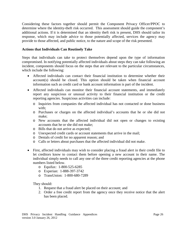Considering these factors together should permit the Component Privacy Officer/PPOC to determine where the identity-theft risk occurred. This assessment should guide the component's additional actions. If it is determined that an identity theft risk is present, DHS should tailor its response, which may include advice to those potentially affected, services the agency may provide to those affected, and public notice, to the nature and scope of the risk presented.

#### **Actions that Individuals Can Routinely Take**

Steps that individuals can take to protect themselves depend upon the type of information compromised. In notifying potentially affected individuals about steps they can take following an incident, components should focus on the steps that are relevant to the particular circumstances, which include the following:

- Affected individuals can contact their financial institution to determine whether their account(s) should be closed. This option should be taken when financial account information such as credit card or bank account information is part of the incident.
- Affected individuals can monitor their financial account statements, and immediately report any suspicious or unusual activity to their financial institution or the credit reporting agencies. Suspicious activities can include:
	- o Inquiries from companies the affected individual has not contacted or done business with;
	- o Purchases or charges on the affected individual's accounts that he or she did not make;
	- o New accounts that the affected individual did not open or changes to existing accounts that he or she did not make;
	- o Bills that do not arrive as expected;
	- o Unexpected credit cards or account statements that arrive in the mail;
	- o Denials of credit for no apparent reason; and
	- o Calls or letters about purchases that the affected individual did not make.
- First, affected individuals may wish to consider placing a fraud alert in their credit file to let creditors know to contact them before opening a new account in their name. The individual simply needs to call any one of the three credit reporting agencies at the phone numbers listed below.
	- o Equifax: 1-800-525-6285
	- o Experian: 1-888-397-3742
	- o TransUnion: 1-800-680-7289

They should:

- 1. Request that a fraud alert be placed on their account; and
- 2. Order a free credit report from the agency once they receive notice that the alert has been placed.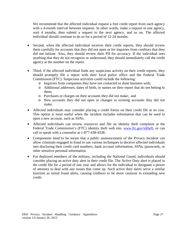We recommend that the affected individual request a free credit report from each agency with a 4-month interval between requests. In other words, make a request to one agency, wait 4 months, then submit a request to the next agency, and so on. The affected individual should continue to do so for a period of 12-24 months.

- Second, when the affected individual receives their credit reports, they should review them carefully for accounts that they did not open or for inquiries from creditors that they did not initiate. Also, they should review their PII for accuracy. If the individual sees anything that they do not recognize or understand, they should immediately call the credit agency at the number on the report.
- Third, if the affected individual finds any suspicious activity on their credit reports, they should promptly file a report with their local police office and the Federal Trade Commission (FTC). Suspicious activities could include the following:
	- o Inquiries from companies they have not contacted or done business with;
	- o Additional addresses, dates of birth, or names on their report that do not belong to them;
	- o Purchases or charges on their accounts they did not make; and
	- o New accounts they did not open or changes to existing accounts they did not make.
- Affected individuals may consider placing a credit freeze on their credit file at no cost. This option is most useful when the incident includes information that can be used to open a new account, such as SSNs.
- Affected individuals can review resources and file an identity theft complaint at the Federal Trade Commission's (FTC) identity theft web site, [www.ftc.gov/idtheft,](http://www.ftc.gov/idtheft) or can call to speak with a counselor at 1-877-438-4338.
- Components need to be aware that a public announcement of the Privacy Incident can allow criminals engaged in fraud to use various techniques to deceive affected individuals into disclosing their credit card numbers, bank account information, SSNs, passwords, or other sensitive personal information.
- For deployed members of the military, including the National Guard, individuals should consider placing an active duty alert in their credit file. The Active Duty alert is placed in the credit file for a period of one year and allows for the individual to designate a power of attorney to deal with any issues that come up. Such active duty alerts serve a similar function as initial fraud alerts, causing creditors to be more cautious in extending new credit.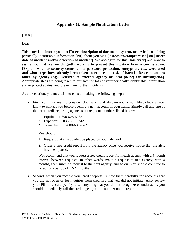# **Appendix G: Sample Notification Letter**

**[Date]**

Dear .

This letter is to inform you that **[Insert description of document, system, or device]** containing personally identifiable information (PII) about you was **[lost/stolen/compromised]** on **[Insert date of incident and/or detection of incident]**. We apologize for this **[loss/error]** and want to assure you that we are diligently working to prevent this situation from occurring again. **[Explain whether security controls like password-protection, encryption, etc., were used and what steps have already been taken to reduce the risk of harm]***.* **[Describe actions taken by agency (e.g.., referred to external agency or local police) for investigation]**. Appropriate steps are being taken to mitigate the loss of your personally identifiable information and to protect against and prevent any further incidents.

As a precaution, you may wish to consider taking the following steps:

- First, you may wish to consider placing a fraud alert on your credit file to let creditors know to contact you before opening a new account in your name. Simply call any one of the three credit reporting agencies at the phone numbers listed below:
	- o Equifax: 1-800-525-6285
	- o Experian: 1-888-397-3742
	- o TransUnion: 1-800-680-7289

You should:

- 1. Request that a fraud alert be placed on your file; and
- 2. Order a free credit report from the agency once you receive notice that the alert has been placed.

We recommend that you request a free credit report from each agency with a 4-month interval between requests. In other words, make a request to one agency, wait 4 months, then submit a request to the next agency, and so on. You should continue to do so for a period of 12-24 months.

• Second, when you receive your credit reports, review them carefully for accounts that you did not open or for inquiries from creditors that you did not initiate. Also, review your PII for accuracy. If you see anything that you do not recognize or understand, you should immediately call the credit agency at the number on the report.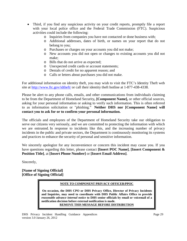- Third, if you find any suspicious activity on your credit reports, promptly file a report with your local police office and the Federal Trade Commission (FTC). Suspicious activities could include the following:
	- o Inquiries from companies you have not contacted or done business with;
	- o Additional addresses, dates of birth, or names on your report that do not belong to you;
	- o Purchases or charges on your accounts you did not make;
	- o New accounts you did not open or changes to existing accounts you did not make;
	- o Bills that do not arrive as expected;
	- o Unexpected credit cards or account statements;
	- o Denials of credit for no apparent reason; and
	- o Calls or letters about purchases you did not make.

For additional information on identity theft, you may wish to visit the FTC's Identity Theft web site at<http://www.ftc.gov/idtheft/> or call their identity theft hotline at 1-877-438-4338.

Please be alert to any phone calls, emails, and other communications from individuals claiming to be from the Department of Homeland Security**, [Component Name],** or other official sources, asking for your personal information or asking to verify such information. This is often referred to as information solicitation or "phishing." **Neither DHS nor [Component Name] will contact you to ask for or to confirm your personal information.**

The officials and employees of the Department of Homeland Security take our obligation to serve our citizens very seriously, and we are committed to protecting the information with which we are entrusted. In response to incidents like this, and the increasing number of privacy incidents in the public and private sectors, the Department is continuously monitoring its systems and practices to enhance the security of personal and sensitive information.

We sincerely apologize for any inconvenience or concern this incident may cause you. If you have questions regarding this letter, please contact **[Insert POC Name]**, **[Insert Component & Position Title]**, at **[Insert Phone Number]** or **[Insert Email Address]**.

Sincerely,

**[Name of Signing Official] [Office of Signing Official]**

#### **NOTE TO COMPONENT PRIVACY OFFICER/PPOC**

**On occasion, the DHS CPO or DHS Privacy Office, Director of Privacy Incidents and Inquiries, may need to coordinate with DHS Public Affairs Office to provide**  *reasonable advance internal notice* **to DHS senior officials by email or voicemail of a notification decision before external notification is made. REMOVE THIS MESSAGE BEFORE DISTRIBUTION**